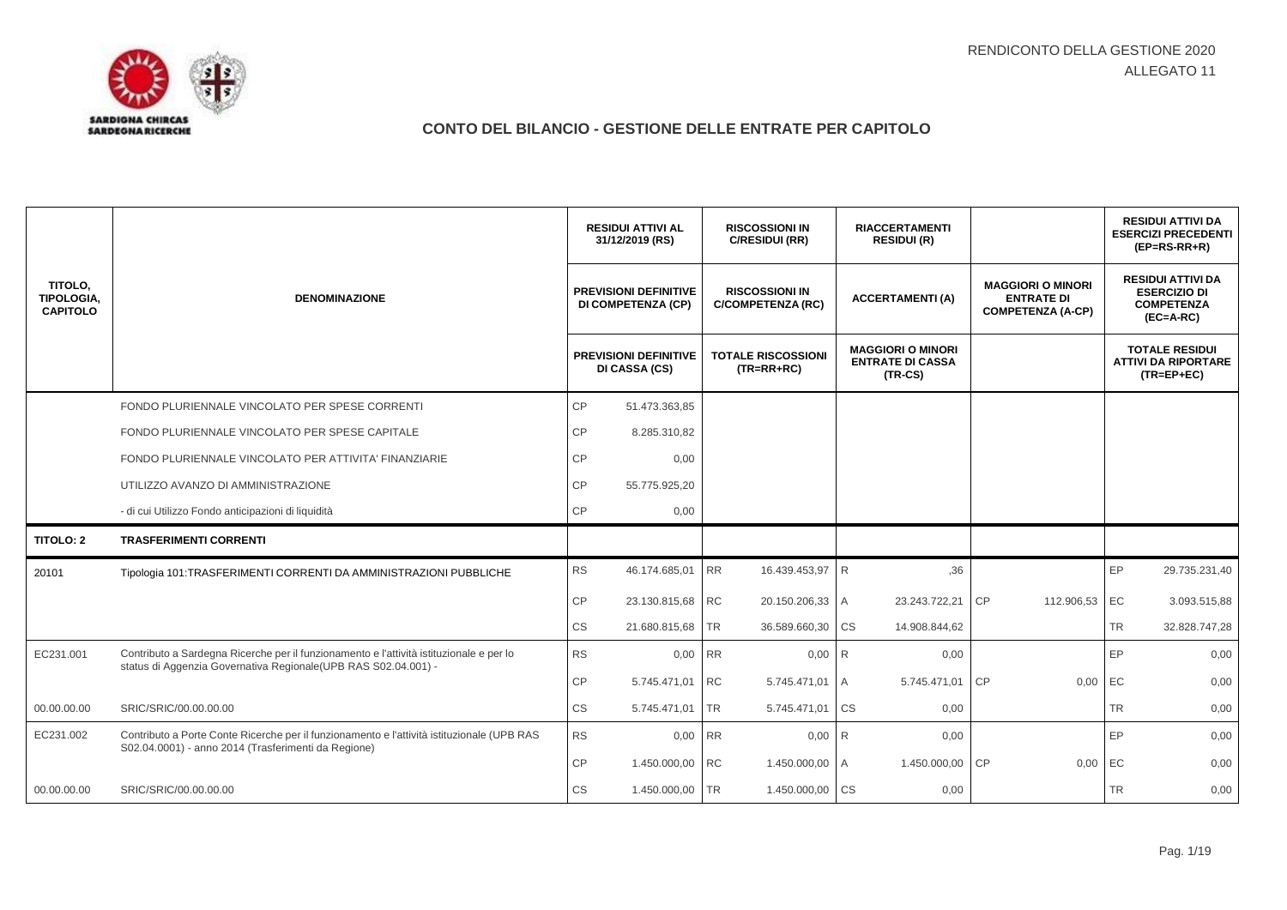

|                                          |                                                                                                                                                            | <b>RESIDUI ATTIVI AL</b><br>31/12/2019 (RS) |                                                           | <b>RISCOSSIONI IN</b><br>C/RESIDUI (RR)           |           | <b>RIACCERTAMENTI</b><br><b>RESIDUI (R)</b>                      |           |                                                                           |           | <b>RESIDUI ATTIVI DA</b><br><b>ESERCIZI PRECEDENTI</b><br>$(EP=RS-RR+R)$            |
|------------------------------------------|------------------------------------------------------------------------------------------------------------------------------------------------------------|---------------------------------------------|-----------------------------------------------------------|---------------------------------------------------|-----------|------------------------------------------------------------------|-----------|---------------------------------------------------------------------------|-----------|-------------------------------------------------------------------------------------|
| TITOLO,<br>TIPOLOGIA,<br><b>CAPITOLO</b> | <b>DENOMINAZIONE</b>                                                                                                                                       |                                             | <b>PREVISIONI DEFINITIVE</b><br><b>DI COMPETENZA (CP)</b> | <b>RISCOSSIONI IN</b><br><b>C/COMPETENZA (RC)</b> |           | <b>ACCERTAMENTI (A)</b>                                          |           | <b>MAGGIORI O MINORI</b><br><b>ENTRATE DI</b><br><b>COMPETENZA (A-CP)</b> |           | <b>RESIDUI ATTIVI DA</b><br><b>ESERCIZIO DI</b><br><b>COMPETENZA</b><br>$(EC=A-RC)$ |
|                                          |                                                                                                                                                            |                                             | <b>PREVISIONI DEFINITIVE</b><br>DI CASSA (CS)             | <b>TOTALE RISCOSSIONI</b><br>$(TR=RR+RC)$         |           | <b>MAGGIORI O MINORI</b><br><b>ENTRATE DI CASSA</b><br>$(TR-CS)$ |           |                                                                           |           | <b>TOTALE RESIDUI</b><br><b>ATTIVI DA RIPORTARE</b><br>$(TR = EP + EC)$             |
|                                          | FONDO PLURIENNALE VINCOLATO PER SPESE CORRENTI                                                                                                             | <b>CP</b>                                   | 51.473.363,85                                             |                                                   |           |                                                                  |           |                                                                           |           |                                                                                     |
|                                          | FONDO PLURIENNALE VINCOLATO PER SPESE CAPITALE                                                                                                             | CP                                          | 8.285.310,82                                              |                                                   |           |                                                                  |           |                                                                           |           |                                                                                     |
|                                          | FONDO PLURIENNALE VINCOLATO PER ATTIVITA' FINANZIARIE                                                                                                      | СP                                          | 0,00                                                      |                                                   |           |                                                                  |           |                                                                           |           |                                                                                     |
|                                          | UTILIZZO AVANZO DI AMMINISTRAZIONE                                                                                                                         | <b>CP</b>                                   | 55.775.925,20                                             |                                                   |           |                                                                  |           |                                                                           |           |                                                                                     |
|                                          | - di cui Utilizzo Fondo anticipazioni di liquidità                                                                                                         | СP                                          | 0,00                                                      |                                                   |           |                                                                  |           |                                                                           |           |                                                                                     |
| TITOLO: 2                                | <b>TRASFERIMENTI CORRENTI</b>                                                                                                                              |                                             |                                                           |                                                   |           |                                                                  |           |                                                                           |           |                                                                                     |
| 20101                                    | Tipologia 101:TRASFERIMENTI CORRENTI DA AMMINISTRAZIONI PUBBLICHE                                                                                          | <b>RS</b>                                   | 46.174.685,01                                             | <b>RR</b><br>16.439.453,97                        | R         | ,36                                                              |           |                                                                           | EP        | 29.735.231,40                                                                       |
|                                          |                                                                                                                                                            | CP                                          | 23.130.815,68 RC                                          | 20.150.206,33 A                                   |           | 23.243.722,21                                                    | <b>CP</b> | 112.906,53                                                                | EC        | 3.093.515,88                                                                        |
|                                          |                                                                                                                                                            | СS                                          | 21.680.815,68                                             | <b>TR</b><br>36.589.660,30                        | <b>CS</b> | 14.908.844,62                                                    |           |                                                                           | <b>TR</b> | 32.828.747,28                                                                       |
| EC231.001                                | Contributo a Sardegna Ricerche per il funzionamento e l'attività istituzionale e per lo<br>status di Aggenzia Governativa Regionale (UPB RAS S02.04.001) - | <b>RS</b>                                   | 0,00                                                      | <b>RR</b>                                         | $0,00$ R  | 0,00                                                             |           |                                                                           | EP        | 0,00                                                                                |
|                                          |                                                                                                                                                            | СP                                          | 5.745.471,01                                              | <b>RC</b><br>5.745.471,01                         | I A       | 5.745.471,01                                                     | <b>CP</b> | 0,00                                                                      | EC        | 0,00                                                                                |
| 00.00.00.00                              | SRIC/SRIC/00.00.00.00                                                                                                                                      | CS                                          | 5.745.471,01                                              | <b>TR</b><br>5.745.471,01                         | <b>CS</b> | 0,00                                                             |           |                                                                           | <b>TR</b> | 0,00                                                                                |
| EC231.002                                | Contributo a Porte Conte Ricerche per il funzionamento e l'attività istituzionale (UPB RAS<br>S02.04.0001) - anno 2014 (Trasferimenti da Regione)          | <b>RS</b>                                   | 0,00                                                      | <b>RR</b><br>0,00                                 | <b>R</b>  | 0,00                                                             |           |                                                                           | EP        | 0,00                                                                                |
|                                          |                                                                                                                                                            | CP                                          | 1.450.000,00                                              | <b>RC</b><br>1.450.000,00                         | I A       | 1.450.000,00                                                     | CP        | 0,00                                                                      | EC        | 0,00                                                                                |
| 00.00.00.00                              | SRIC/SRIC/00.00.00.00                                                                                                                                      | <b>CS</b>                                   | 1.450.000,00 TR                                           | 1.450.000,00 CS                                   |           | 0,00                                                             |           |                                                                           | <b>TR</b> | 0,00                                                                                |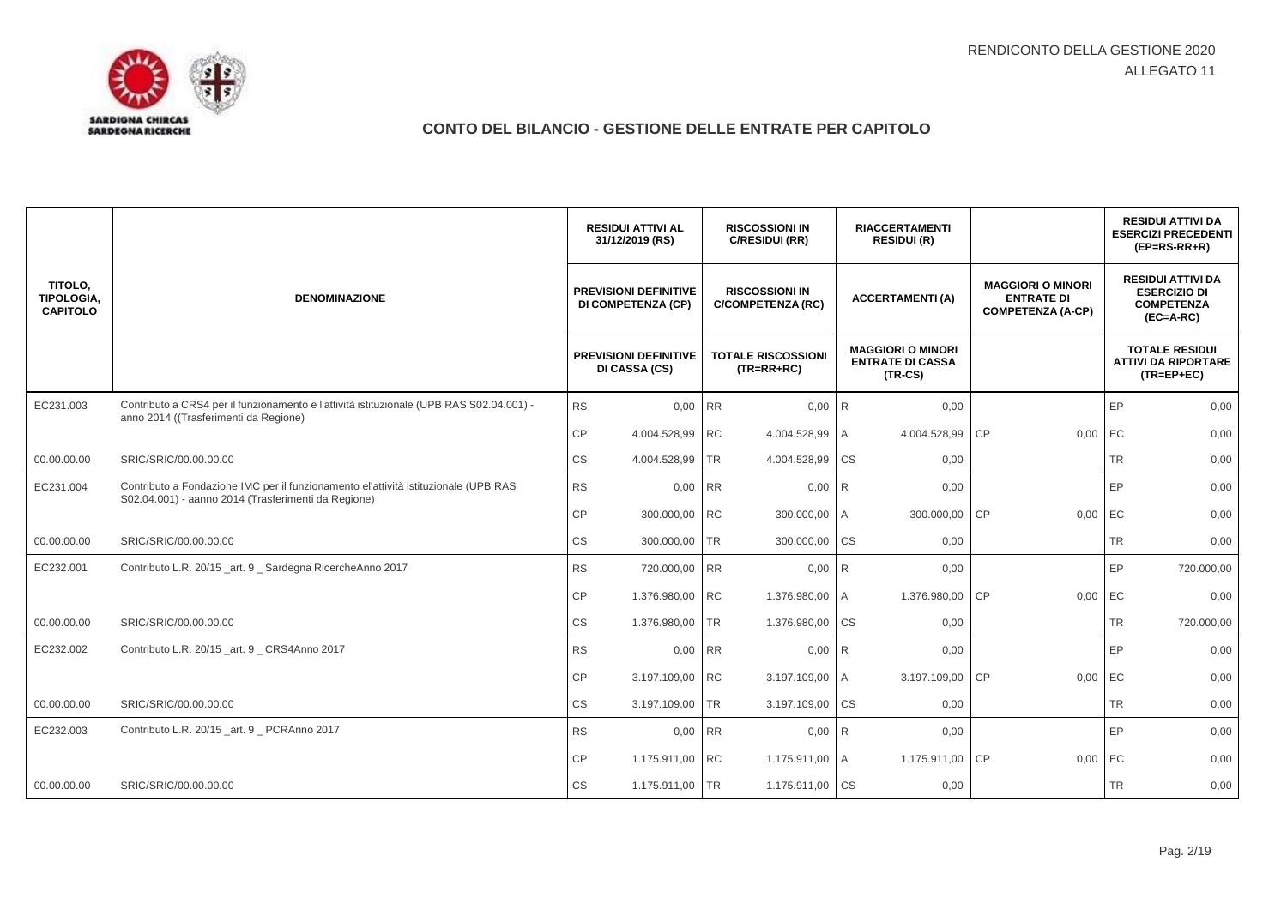

|                                                 |                                                                                                                                            |           | <b>RESIDUI ATTIVI AL</b><br>31/12/2019 (RS)        | <b>RISCOSSIONI IN</b><br>C/RESIDUI (RR) |                                                   | <b>RIACCERTAMENTI</b><br><b>RESIDUI (R)</b> |                                                                  |           |                                                                           |           | <b>RESIDUI ATTIVI DA</b><br><b>ESERCIZI PRECEDENTI</b><br>$(EP=RS-RR+R)$            |
|-------------------------------------------------|--------------------------------------------------------------------------------------------------------------------------------------------|-----------|----------------------------------------------------|-----------------------------------------|---------------------------------------------------|---------------------------------------------|------------------------------------------------------------------|-----------|---------------------------------------------------------------------------|-----------|-------------------------------------------------------------------------------------|
| TITOLO,<br><b>TIPOLOGIA.</b><br><b>CAPITOLO</b> | <b>DENOMINAZIONE</b>                                                                                                                       |           | <b>PREVISIONI DEFINITIVE</b><br>DI COMPETENZA (CP) |                                         | <b>RISCOSSIONI IN</b><br><b>C/COMPETENZA (RC)</b> |                                             | <b>ACCERTAMENTI(A)</b>                                           |           | <b>MAGGIORI O MINORI</b><br><b>ENTRATE DI</b><br><b>COMPETENZA (A-CP)</b> |           | <b>RESIDUI ATTIVI DA</b><br><b>ESERCIZIO DI</b><br><b>COMPETENZA</b><br>$(EC=A-RC)$ |
|                                                 |                                                                                                                                            |           | <b>PREVISIONI DEFINITIVE</b><br>DI CASSA (CS)      |                                         | <b>TOTALE RISCOSSIONI</b><br>$(TR=RR+RC)$         |                                             | <b>MAGGIORI O MINORI</b><br><b>ENTRATE DI CASSA</b><br>$(TR-CS)$ |           |                                                                           |           | <b>TOTALE RESIDUI</b><br><b>ATTIVI DA RIPORTARE</b><br>$(TR = EP + EC)$             |
| EC231.003                                       | Contributo a CRS4 per il funzionamento e l'attività istituzionale (UPB RAS S02.04.001) -<br>anno 2014 ((Trasferimenti da Regione)          | <b>RS</b> | 0,00 RR                                            |                                         | 0,00                                              | R                                           | 0,00                                                             |           |                                                                           | EP        | 0,00                                                                                |
|                                                 |                                                                                                                                            | CP        | 4.004.528,99 RC                                    |                                         | 4.004.528,99                                      | I A                                         | 4.004.528,99                                                     | CP        | 0,00                                                                      | EC        | 0,00                                                                                |
| 00.00.00.00                                     | SRIC/SRIC/00.00.00.00                                                                                                                      | CS        | 4.004.528,99 TR                                    |                                         | 4.004.528,99 CS                                   |                                             | 0,00                                                             |           |                                                                           | <b>TR</b> | 0,00                                                                                |
| EC231.004                                       | Contributo a Fondazione IMC per il funzionamento el'attività istituzionale (UPB RAS<br>S02.04.001) - aanno 2014 (Trasferimenti da Regione) | <b>RS</b> | 0,00 RR                                            |                                         | $0,00$ R                                          |                                             | 0,00                                                             |           |                                                                           | EP        | 0,00                                                                                |
|                                                 |                                                                                                                                            | CP        | 300.000,00 RC                                      |                                         | 300.000,00 A                                      |                                             | 300.000,00                                                       | <b>CP</b> | 0,00                                                                      | EC        | 0,00                                                                                |
| 00.00.00.00                                     | SRIC/SRIC/00.00.00.00                                                                                                                      | <b>CS</b> | 300.000,00 TR                                      |                                         | 300.000,00                                        | <b>CS</b>                                   | 0,00                                                             |           |                                                                           | <b>TR</b> | 0,00                                                                                |
| EC232.001                                       | Contributo L.R. 20/15_art. 9 _ Sardegna RicercheAnno 2017                                                                                  | <b>RS</b> | 720.000,00 RR                                      |                                         | 0,00                                              | R                                           | 0,00                                                             |           |                                                                           | EP        | 720.000,00                                                                          |
|                                                 |                                                                                                                                            | CP        | 1.376.980,00 RC                                    |                                         | 1.376.980,00 A                                    |                                             | 1.376.980,00                                                     | <b>CP</b> | 0,00                                                                      | EC        | 0,00                                                                                |
| 00.00.00.00                                     | SRIC/SRIC/00.00.00.00                                                                                                                      | <b>CS</b> | 1.376.980,00                                       | <b>TR</b>                               | 1.376.980,00                                      | <b>CS</b>                                   | 0,00                                                             |           |                                                                           | <b>TR</b> | 720.000,00                                                                          |
| EC232.002                                       | Contributo L.R. 20/15_art. 9 _ CRS4Anno 2017                                                                                               | <b>RS</b> | 0,00 RR                                            |                                         | 0,00                                              | R                                           | 0,00                                                             |           |                                                                           | EP        | 0,00                                                                                |
|                                                 |                                                                                                                                            | <b>CP</b> | 3.197.109,00 RC                                    |                                         | 3.197.109,00 A                                    |                                             | 3.197.109,00                                                     | <b>CP</b> | 0,00                                                                      | EC        | 0,00                                                                                |
| 00.00.00.00                                     | SRIC/SRIC/00.00.00.00                                                                                                                      | <b>CS</b> | 3.197.109,00                                       | <b>TR</b>                               | 3.197.109,00                                      | <b>CS</b>                                   | 0,00                                                             |           |                                                                           | <b>TR</b> | 0,00                                                                                |
| EC232.003                                       | Contributo L.R. 20/15 art. 9 PCRAnno 2017                                                                                                  | <b>RS</b> | 0,00 RR                                            |                                         | 0,00                                              | <b>R</b>                                    | 0,00                                                             |           |                                                                           | EP        | 0,00                                                                                |
|                                                 |                                                                                                                                            | CP        | 1.175.911,00 RC                                    |                                         | 1.175.911,00                                      | I A                                         | 1.175.911,00                                                     | <b>CP</b> | 0,00                                                                      | EC        | 0,00                                                                                |
| 00.00.00.00                                     | SRIC/SRIC/00.00.00.00                                                                                                                      | <b>CS</b> | 1.175.911,00 TR                                    |                                         | 1.175.911,00 CS                                   |                                             | 0,00                                                             |           |                                                                           | <b>TR</b> | 0,00                                                                                |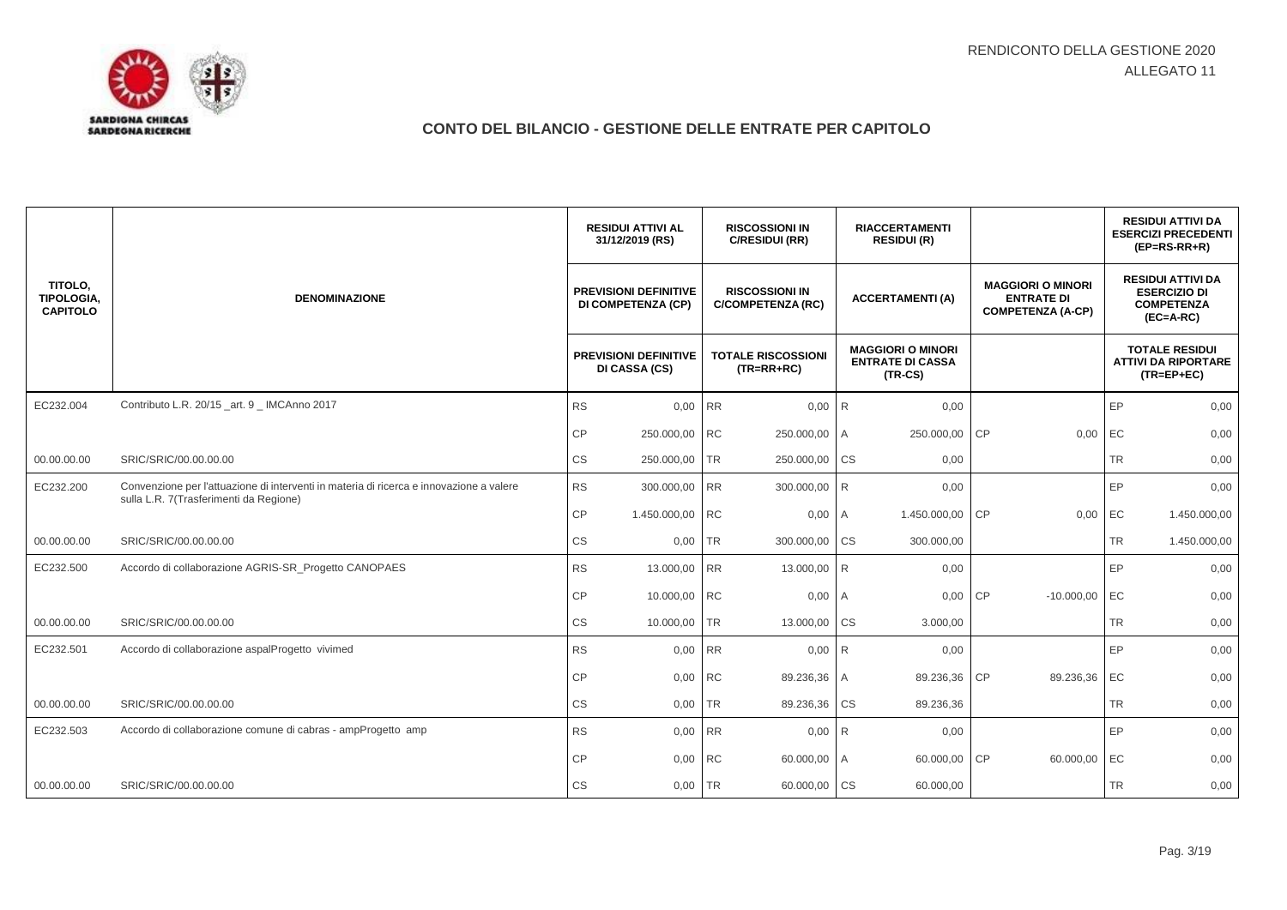

|                                          |                                                                                                                                   |                        | <b>RESIDUI ATTIVI AL</b><br>31/12/2019 (RS)               |           | <b>RISCOSSIONI IN</b><br>C/RESIDUI (RR)           | <b>RIACCERTAMENTI</b><br><b>RESIDUI (R)</b> |                                                                  |           |                                                                           |           | <b>RESIDUI ATTIVI DA</b><br><b>ESERCIZI PRECEDENTI</b><br>$(EP=RS-RR+R)$            |
|------------------------------------------|-----------------------------------------------------------------------------------------------------------------------------------|------------------------|-----------------------------------------------------------|-----------|---------------------------------------------------|---------------------------------------------|------------------------------------------------------------------|-----------|---------------------------------------------------------------------------|-----------|-------------------------------------------------------------------------------------|
| TITOLO,<br>TIPOLOGIA,<br><b>CAPITOLO</b> | <b>DENOMINAZIONE</b>                                                                                                              |                        | <b>PREVISIONI DEFINITIVE</b><br><b>DI COMPETENZA (CP)</b> |           | <b>RISCOSSIONI IN</b><br><b>C/COMPETENZA (RC)</b> |                                             | <b>ACCERTAMENTI (A)</b>                                          |           | <b>MAGGIORI O MINORI</b><br><b>ENTRATE DI</b><br><b>COMPETENZA (A-CP)</b> |           | <b>RESIDUI ATTIVI DA</b><br><b>ESERCIZIO DI</b><br><b>COMPETENZA</b><br>$(EC=A-RC)$ |
|                                          |                                                                                                                                   |                        | <b>PREVISIONI DEFINITIVE</b><br>DI CASSA (CS)             |           | <b>TOTALE RISCOSSIONI</b><br>$(TR=RR+RC)$         |                                             | <b>MAGGIORI O MINORI</b><br><b>ENTRATE DI CASSA</b><br>$(TR-CS)$ |           |                                                                           |           | <b>TOTALE RESIDUI</b><br><b>ATTIVI DA RIPORTARE</b><br>$(TR = EP + EC)$             |
| EC232.004                                | Contributo L.R. 20/15_art. 9 _ IMCAnno 2017                                                                                       | <b>RS</b>              | 0,00 RR                                                   |           | 0,00                                              | <b>R</b>                                    | 0,00                                                             |           |                                                                           | EP        | 0,00                                                                                |
|                                          |                                                                                                                                   | СP                     | 250.000,00                                                | <b>RC</b> | 250.000,00                                        | I A                                         | 250.000,00                                                       | <b>CP</b> | 0,00                                                                      | EC        | 0,00                                                                                |
| 00.00.00.00                              | SRIC/SRIC/00.00.00.00                                                                                                             | <b>CS</b>              | 250.000,00                                                | <b>TR</b> | 250.000,00                                        | <b>CS</b>                                   | 0,00                                                             |           |                                                                           | <b>TR</b> | 0,00                                                                                |
| EC232.200                                | Convenzione per l'attuazione di interventi in materia di ricerca e innovazione a valere<br>sulla L.R. 7(Trasferimenti da Regione) | <b>RS</b>              | 300.000,00                                                | <b>RR</b> | 300.000,00 R                                      |                                             | 0,00                                                             |           |                                                                           | EP        | 0,00                                                                                |
|                                          |                                                                                                                                   | CP                     | 1.450.000,00                                              | <b>RC</b> | 0,00                                              | l A                                         | 1.450.000,00                                                     | CP        | 0,00                                                                      | EC        | 1.450.000,00                                                                        |
| 00.00.00.00                              | SRIC/SRIC/00.00.00.00                                                                                                             | $\mathbb{C}\mathbb{S}$ | 0,00                                                      | <b>TR</b> | 300.000,00                                        | <b>CS</b>                                   | 300.000,00                                                       |           |                                                                           | <b>TR</b> | 1.450.000,00                                                                        |
| EC232.500                                | Accordo di collaborazione AGRIS-SR_Progetto CANOPAES                                                                              | <b>RS</b>              | 13.000,00                                                 | <b>RR</b> | 13.000,00                                         | <b>R</b>                                    | 0,00                                                             |           |                                                                           | EP        | 0,00                                                                                |
|                                          |                                                                                                                                   | <b>CP</b>              | 10.000,00 RC                                              |           | 0,00                                              | $\overline{A}$                              | 0,00                                                             | <b>CP</b> | $-10.000,00$                                                              | EC        | 0,00                                                                                |
| 00.00.00.00                              | SRIC/SRIC/00.00.00.00                                                                                                             | СS                     | 10.000,00                                                 | <b>TR</b> | 13.000,00                                         | <b>CS</b>                                   | 3.000,00                                                         |           |                                                                           | <b>TR</b> | 0,00                                                                                |
| EC232.501                                | Accordo di collaborazione aspalProgetto vivimed                                                                                   | <b>RS</b>              | 0,00                                                      | <b>RR</b> | 0,00                                              | R                                           | 0,00                                                             |           |                                                                           | EP        | 0,00                                                                                |
|                                          |                                                                                                                                   | СP                     | 0,00 RC                                                   |           | 89.236,36 A                                       |                                             | 89.236,36                                                        | <b>CP</b> | 89.236,36                                                                 | EC        | 0,00                                                                                |
| 00.00.00.00                              | SRIC/SRIC/00.00.00.00                                                                                                             | CS                     | 0,00                                                      | <b>TR</b> | 89.236,36                                         | <b>CS</b>                                   | 89.236,36                                                        |           |                                                                           | <b>TR</b> | 0,00                                                                                |
| EC232.503                                | Accordo di collaborazione comune di cabras - ampProgetto amp                                                                      | <b>RS</b>              | 0,00                                                      | <b>RR</b> | 0,00                                              | I <sub>R</sub>                              | 0,00                                                             |           |                                                                           | EP        | 0,00                                                                                |
|                                          |                                                                                                                                   | СP                     | 0,00                                                      | RC        | 60.000,00 A                                       |                                             | 60.000,00                                                        | CP        | 60.000,00                                                                 | EC        | 0,00                                                                                |
| 00.00.00.00                              | SRIC/SRIC/00.00.00.00                                                                                                             | CS                     | 0,00 TR                                                   |           | 60.000,00                                         | <b>CS</b>                                   | 60.000,00                                                        |           |                                                                           | <b>TR</b> | 0,00                                                                                |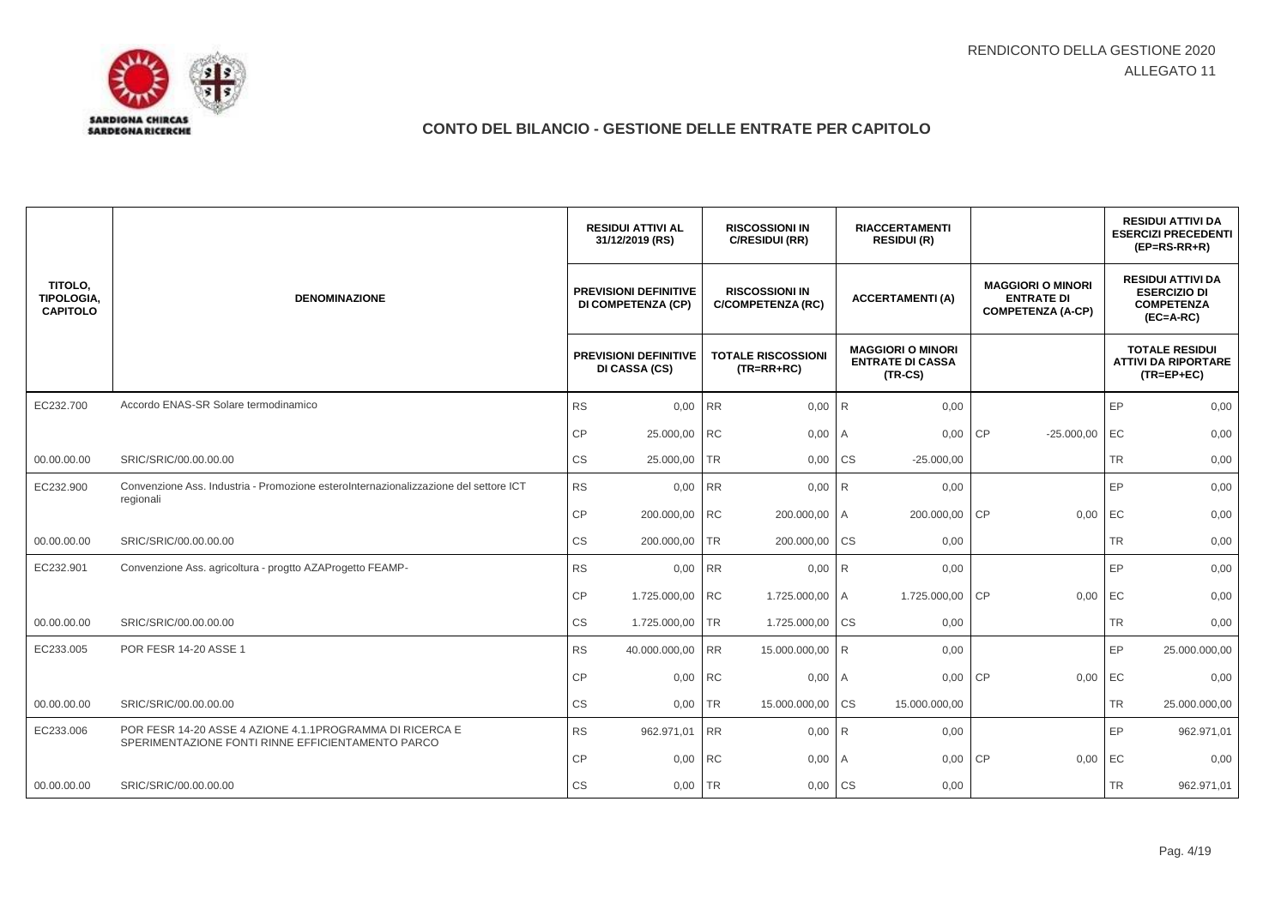

|                                          |                                                                                                               |           | <b>RESIDUI ATTIVI AL</b><br>31/12/2019 (RS)        |           | <b>RISCOSSIONI IN</b><br>C/RESIDUI (RR)           | <b>RIACCERTAMENTI</b><br><b>RESIDUI (R)</b> |                                                                  |           |                                                                           |           | <b>RESIDUI ATTIVI DA</b><br><b>ESERCIZI PRECEDENTI</b><br>$(EP=RS-RR+R)$            |
|------------------------------------------|---------------------------------------------------------------------------------------------------------------|-----------|----------------------------------------------------|-----------|---------------------------------------------------|---------------------------------------------|------------------------------------------------------------------|-----------|---------------------------------------------------------------------------|-----------|-------------------------------------------------------------------------------------|
| TITOLO,<br>TIPOLOGIA,<br><b>CAPITOLO</b> | <b>DENOMINAZIONE</b>                                                                                          |           | <b>PREVISIONI DEFINITIVE</b><br>DI COMPETENZA (CP) |           | <b>RISCOSSIONI IN</b><br><b>C/COMPETENZA (RC)</b> |                                             | <b>ACCERTAMENTI(A)</b>                                           |           | <b>MAGGIORI O MINORI</b><br><b>ENTRATE DI</b><br><b>COMPETENZA (A-CP)</b> |           | <b>RESIDUI ATTIVI DA</b><br><b>ESERCIZIO DI</b><br><b>COMPETENZA</b><br>$(EC=A-RC)$ |
|                                          |                                                                                                               |           | <b>PREVISIONI DEFINITIVE</b><br>DI CASSA (CS)      |           | <b>TOTALE RISCOSSIONI</b><br>$(TR=RR+RC)$         |                                             | <b>MAGGIORI O MINORI</b><br><b>ENTRATE DI CASSA</b><br>$(TR-CS)$ |           |                                                                           |           | <b>TOTALE RESIDUI</b><br><b>ATTIVI DA RIPORTARE</b><br>$(TR = EP + EC)$             |
| EC232.700                                | Accordo ENAS-SR Solare termodinamico                                                                          | <b>RS</b> | 0,00 RR                                            |           | 0,00                                              | <b>R</b>                                    | 0,00                                                             |           |                                                                           | EP        | 0,00                                                                                |
|                                          |                                                                                                               | CP        | 25.000,00 RC                                       |           | 0,00                                              | ΙA.                                         | 0,00                                                             | <b>CP</b> | $-25.000,00$                                                              | EC        | 0,00                                                                                |
| 00.00.00.00                              | SRIC/SRIC/00.00.00.00                                                                                         | CS        | 25.000,00 TR                                       |           | 0,00 CS                                           |                                             | $-25.000,00$                                                     |           |                                                                           | <b>TR</b> | 0,00                                                                                |
| EC232.900                                | Convenzione Ass. Industria - Promozione esteroInternazionalizzazione del settore ICT<br>regionali             | <b>RS</b> | 0,00 RR                                            |           | $0,00$ R                                          |                                             | 0,00                                                             |           |                                                                           | EP        | 0,00                                                                                |
|                                          |                                                                                                               | CP        | 200.000,00 RC                                      |           | 200.000,00 A                                      |                                             | 200.000,00                                                       | <b>CP</b> | 0,00                                                                      | EC        | 0,00                                                                                |
| 00.00.00.00                              | SRIC/SRIC/00.00.00.00                                                                                         | <b>CS</b> | 200.000,00 TR                                      |           | 200.000,00                                        | <b>CS</b>                                   | 0,00                                                             |           |                                                                           | <b>TR</b> | 0,00                                                                                |
| EC232.901                                | Convenzione Ass. agricoltura - progtto AZAProgetto FEAMP-                                                     | <b>RS</b> | 0,00 RR                                            |           | 0,00                                              | R                                           | 0,00                                                             |           |                                                                           | EP        | 0,00                                                                                |
|                                          |                                                                                                               | CP        | 1.725.000,00 RC                                    |           | 1.725.000,00                                      | I A                                         | 1.725.000,00 CP                                                  |           | 0,00                                                                      | EC        | 0,00                                                                                |
| 00.00.00.00                              | SRIC/SRIC/00.00.00.00                                                                                         | CS        | 1.725.000,00                                       | <b>TR</b> | 1.725.000,00                                      | <b>CS</b>                                   | 0,00                                                             |           |                                                                           | <b>TR</b> | 0,00                                                                                |
| EC233.005                                | <b>POR FESR 14-20 ASSE 1</b>                                                                                  | <b>RS</b> | 40.000.000,00 RR                                   |           | 15.000.000,00 R                                   |                                             | 0,00                                                             |           |                                                                           | EP        | 25.000.000,00                                                                       |
|                                          |                                                                                                               | <b>CP</b> | 0,00 RC                                            |           | 0,00                                              | I A                                         | 0.00                                                             | <b>CP</b> | 0,00                                                                      | EC        | 0,00                                                                                |
| 00.00.00.00                              | SRIC/SRIC/00.00.00.00                                                                                         | CS        | 0,00                                               | <b>TR</b> | 15.000.000,00                                     | <b>CS</b>                                   | 15.000.000,00                                                    |           |                                                                           | <b>TR</b> | 25.000.000,00                                                                       |
| EC233.006                                | POR FESR 14-20 ASSE 4 AZIONE 4.1.1PROGRAMMA DI RICERCA E<br>SPERIMENTAZIONE FONTI RINNE EFFICIENTAMENTO PARCO | <b>RS</b> | 962.971,01                                         | <b>RR</b> | 0,00                                              | R <sub>1</sub>                              | 0,00                                                             |           |                                                                           | EP        | 962.971,01                                                                          |
|                                          |                                                                                                               | CP        | 0,00                                               | <b>RC</b> | 0,00                                              | l A                                         | 0,00                                                             | CP        | 0,00                                                                      | EC        | 0,00                                                                                |
| 00.00.00.00                              | SRIC/SRIC/00.00.00.00                                                                                         | <b>CS</b> | 0,00 TR                                            |           | $0.00$ $CS$                                       |                                             | 0,00                                                             |           |                                                                           | <b>TR</b> | 962.971,01                                                                          |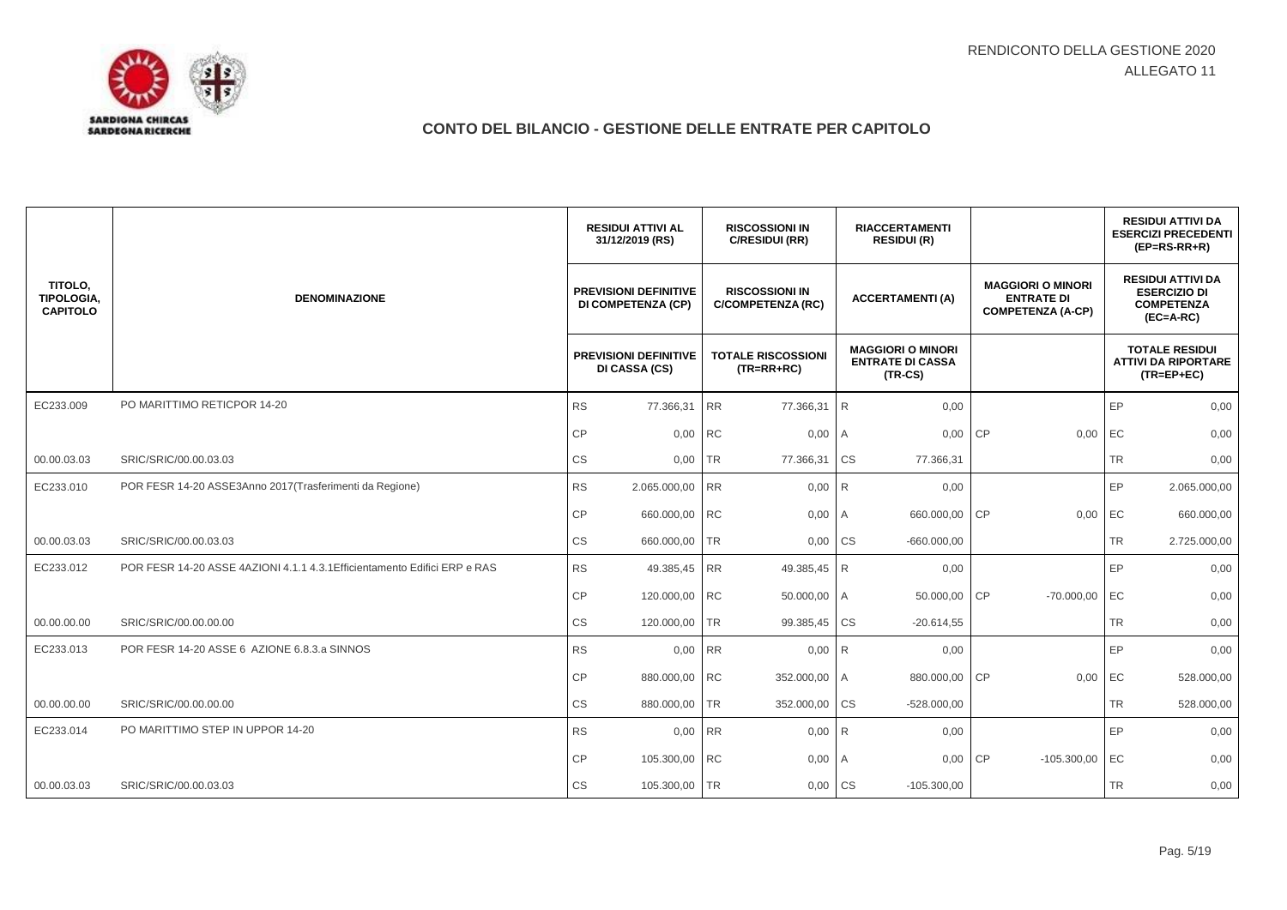

|                                          |                                                                           |                        | <b>RESIDUI ATTIVI AL</b><br>31/12/2019 (RS)               |           | <b>RISCOSSIONI IN</b><br>C/RESIDUI (RR)           | <b>RIACCERTAMENTI</b><br><b>RESIDUI (R)</b> |                                                                  |           |                                                                           |           | <b>RESIDUI ATTIVI DA</b><br><b>ESERCIZI PRECEDENTI</b><br>$(EP=RS-RR+R)$            |
|------------------------------------------|---------------------------------------------------------------------------|------------------------|-----------------------------------------------------------|-----------|---------------------------------------------------|---------------------------------------------|------------------------------------------------------------------|-----------|---------------------------------------------------------------------------|-----------|-------------------------------------------------------------------------------------|
| TITOLO,<br>TIPOLOGIA,<br><b>CAPITOLO</b> | <b>DENOMINAZIONE</b>                                                      |                        | <b>PREVISIONI DEFINITIVE</b><br><b>DI COMPETENZA (CP)</b> |           | <b>RISCOSSIONI IN</b><br><b>C/COMPETENZA (RC)</b> |                                             | <b>ACCERTAMENTI (A)</b>                                          |           | <b>MAGGIORI O MINORI</b><br><b>ENTRATE DI</b><br><b>COMPETENZA (A-CP)</b> |           | <b>RESIDUI ATTIVI DA</b><br><b>ESERCIZIO DI</b><br><b>COMPETENZA</b><br>$(EC=A-RC)$ |
|                                          |                                                                           |                        | <b>PREVISIONI DEFINITIVE</b><br>DI CASSA (CS)             |           | <b>TOTALE RISCOSSIONI</b><br>$(TR=RR+RC)$         |                                             | <b>MAGGIORI O MINORI</b><br><b>ENTRATE DI CASSA</b><br>$(TR-CS)$ |           |                                                                           |           | <b>TOTALE RESIDUI</b><br><b>ATTIVI DA RIPORTARE</b><br>$(TR = EP + EC)$             |
| EC233.009                                | PO MARITTIMO RETICPOR 14-20                                               | <b>RS</b>              | 77.366,31                                                 | RR        | 77.366,31                                         | <b>R</b>                                    | 0,00                                                             |           |                                                                           | EP        | 0,00                                                                                |
|                                          |                                                                           | СP                     | 0,00                                                      | <b>RC</b> | 0,00                                              | I A                                         | 0,00                                                             | <b>CP</b> | 0,00                                                                      | EC        | 0,00                                                                                |
| 00.00.03.03                              | SRIC/SRIC/00.00.03.03                                                     | <b>CS</b>              | 0,00                                                      | <b>TR</b> | 77.366,31                                         | <b>CS</b>                                   | 77.366,31                                                        |           |                                                                           | <b>TR</b> | 0,00                                                                                |
| EC233.010                                | POR FESR 14-20 ASSE3Anno 2017 (Trasferimenti da Regione)                  | <b>RS</b>              | 2.065.000,00                                              | <b>RR</b> | $0,00$ R                                          |                                             | 0,00                                                             |           |                                                                           | EP        | 2.065.000,00                                                                        |
|                                          |                                                                           | CP                     | 660.000,00 RC                                             |           | 0,00                                              | I A                                         | 660.000,00                                                       | CP        | 0,00                                                                      | EC        | 660.000,00                                                                          |
| 00.00.03.03                              | SRIC/SRIC/00.00.03.03                                                     | $\mathbb{C}\mathbb{S}$ | 660.000,00 TR                                             |           | 0,00                                              | <b>CS</b>                                   | $-660.000,00$                                                    |           |                                                                           | <b>TR</b> | 2.725.000,00                                                                        |
| EC233.012                                | POR FESR 14-20 ASSE 4AZIONI 4.1.1 4.3.1 Efficientamento Edifici ERP e RAS | <b>RS</b>              | 49.385,45                                                 | RR        | 49.385,45                                         | R                                           | 0,00                                                             |           |                                                                           | EP        | 0,00                                                                                |
|                                          |                                                                           | <b>CP</b>              | 120.000,00 RC                                             |           | 50.000,00 A                                       |                                             | 50.000,00                                                        | <b>CP</b> | $-70.000,00$                                                              | EC        | 0,00                                                                                |
| 00.00.00.00                              | SRIC/SRIC/00.00.00.00                                                     | CS                     | 120.000,00                                                | <b>TR</b> | 99.385,45                                         | <b>CS</b>                                   | $-20.614,55$                                                     |           |                                                                           | <b>TR</b> | 0,00                                                                                |
| EC233.013                                | POR FESR 14-20 ASSE 6 AZIONE 6.8.3.a SINNOS                               | <b>RS</b>              | 0,00                                                      | <b>RR</b> | 0,00                                              | <b>R</b>                                    | 0,00                                                             |           |                                                                           | EP        | 0,00                                                                                |
|                                          |                                                                           | CP                     | 880.000,00 RC                                             |           | 352.000,00 A                                      |                                             | 880.000,00                                                       | <b>CP</b> | 0,00                                                                      | EC        | 528.000,00                                                                          |
| 00.00.00.00                              | SRIC/SRIC/00.00.00.00                                                     | CS                     | 880.000,00                                                | <b>TR</b> | 352.000,00                                        | <b>CS</b>                                   | $-528.000,00$                                                    |           |                                                                           | <b>TR</b> | 528.000,00                                                                          |
| EC233.014                                | PO MARITTIMO STEP IN UPPOR 14-20                                          | <b>RS</b>              | 0,00                                                      | <b>RR</b> | 0,00                                              | R                                           | 0,00                                                             |           |                                                                           | EP        | 0,00                                                                                |
|                                          |                                                                           | СP                     | 105.300,00 RC                                             |           | 0,00                                              | I A                                         | 0,00                                                             | <b>CP</b> | $-105.300,00$                                                             | EC        | 0,00                                                                                |
| 00.00.03.03                              | SRIC/SRIC/00.00.03.03                                                     | <b>CS</b>              | 105.300,00                                                | <b>TR</b> | 0,00                                              | <b>CS</b>                                   | $-105.300,00$                                                    |           |                                                                           | <b>TR</b> | 0,00                                                                                |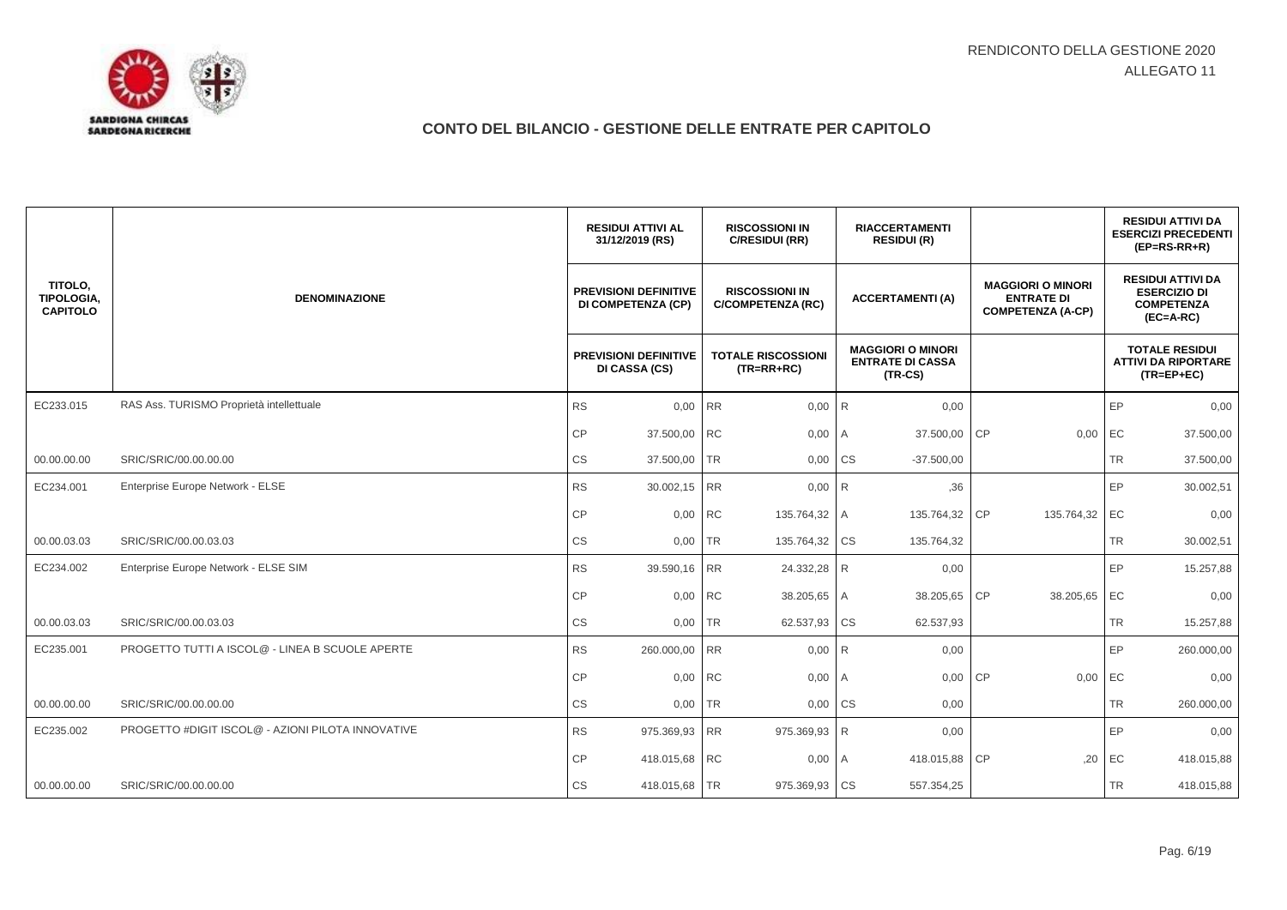

|                                          |                                                   | <b>RESIDUI ATTIVI AL</b><br>31/12/2019 (RS)               | <b>RISCOSSIONI IN</b><br>C/RESIDUI (RR)           |                        | <b>RIACCERTAMENTI</b><br><b>RESIDUI (R)</b>                      |                                                                           |           | <b>RESIDUI ATTIVI DA</b><br><b>ESERCIZI PRECEDENTI</b><br>$(EP=RS-RR+R)$            |
|------------------------------------------|---------------------------------------------------|-----------------------------------------------------------|---------------------------------------------------|------------------------|------------------------------------------------------------------|---------------------------------------------------------------------------|-----------|-------------------------------------------------------------------------------------|
| TITOLO,<br>TIPOLOGIA,<br><b>CAPITOLO</b> | <b>DENOMINAZIONE</b>                              | <b>PREVISIONI DEFINITIVE</b><br><b>DI COMPETENZA (CP)</b> | <b>RISCOSSIONI IN</b><br><b>C/COMPETENZA (RC)</b> |                        | <b>ACCERTAMENTI (A)</b>                                          | <b>MAGGIORI O MINORI</b><br><b>ENTRATE DI</b><br><b>COMPETENZA (A-CP)</b> |           | <b>RESIDUI ATTIVI DA</b><br><b>ESERCIZIO DI</b><br><b>COMPETENZA</b><br>$(EC=A-RC)$ |
|                                          |                                                   | <b>PREVISIONI DEFINITIVE</b><br>DI CASSA (CS)             | <b>TOTALE RISCOSSIONI</b><br>$(TR=RR+RC)$         |                        | <b>MAGGIORI O MINORI</b><br><b>ENTRATE DI CASSA</b><br>$(TR-CS)$ |                                                                           |           | <b>TOTALE RESIDUI</b><br><b>ATTIVI DA RIPORTARE</b><br>$(TR = EP + EC)$             |
| EC233.015                                | RAS Ass. TURISMO Proprietà intellettuale          | 0,00 RR<br><b>RS</b>                                      | 0,00                                              | R                      | 0,00                                                             |                                                                           | EP        | 0,00                                                                                |
|                                          |                                                   | СP<br>37.500,00                                           | <b>RC</b><br>0,00                                 | I A                    | 37.500,00                                                        | CP<br>0,00                                                                | EC        | 37.500,00                                                                           |
| 00.00.00.00                              | SRIC/SRIC/00.00.00.00                             | CS<br>37.500,00                                           | <b>TR</b><br>0,00                                 | <b>CS</b>              | $-37.500,00$                                                     |                                                                           | <b>TR</b> | 37.500,00                                                                           |
| EC234.001                                | Enterprise Europe Network - ELSE                  | <b>RS</b><br>30.002,15                                    | <b>RR</b>                                         | $0,00$ R               | ,36                                                              |                                                                           | EP        | 30.002,51                                                                           |
|                                          |                                                   | CP<br>0,00                                                | <b>RC</b><br>135.764,32 A                         |                        | 135.764,32                                                       | <b>CP</b><br>135.764,32                                                   | EC        | 0,00                                                                                |
| 00.00.03.03                              | SRIC/SRIC/00.00.03.03                             | $\mathbb{C}\mathbb{S}$<br>$0,00$ TR                       | 135.764,32 CS                                     |                        | 135.764,32                                                       |                                                                           | <b>TR</b> | 30.002,51                                                                           |
| EC234.002                                | Enterprise Europe Network - ELSE SIM              | <b>RS</b><br>39.590,16                                    | RR<br>24.332,28                                   | <b>R</b>               | 0,00                                                             |                                                                           | EP        | 15.257,88                                                                           |
|                                          |                                                   | <b>CP</b><br>0,00 RC                                      | 38.205,65 A                                       |                        | 38.205,65                                                        | <b>CP</b><br>38.205,65 EC                                                 |           | 0,00                                                                                |
| 00.00.03.03                              | SRIC/SRIC/00.00.03.03                             | СS<br>0,00 TR                                             | 62.537,93                                         | $\overline{\text{CS}}$ | 62.537,93                                                        |                                                                           | <b>TR</b> | 15.257,88                                                                           |
| EC235.001                                | PROGETTO TUTTI A ISCOL@ - LINEA B SCUOLE APERTE   | <b>RS</b><br>260.000,00                                   | <b>RR</b><br>0,00                                 | R                      | 0,00                                                             |                                                                           | EP        | 260.000,00                                                                          |
|                                          |                                                   | СP<br>0,00 RC                                             | 0,00                                              | l A                    | 0,00                                                             | CP<br>0,00                                                                | EC        | 0,00                                                                                |
| 00.00.00.00                              | SRIC/SRIC/00.00.00.00                             | CS<br>0,00                                                | TR<br>0,00                                        | <b>CS</b>              | 0,00                                                             |                                                                           | <b>TR</b> | 260.000,00                                                                          |
| EC235.002                                | PROGETTO #DIGIT ISCOL@ - AZIONI PILOTA INNOVATIVE | <b>RS</b><br>975.369,93 RR                                | 975.369,93 R                                      |                        | 0,00                                                             |                                                                           | EP        | 0,00                                                                                |
|                                          |                                                   | CP<br>418.015,68 RC                                       | 0,00                                              | I A                    | 418.015,88                                                       | CP<br>,20                                                                 | EC        | 418.015,88                                                                          |
| 00.00.00.00                              | SRIC/SRIC/00.00.00.00                             | CS<br>418.015,68                                          | <b>TR</b><br>975.369,93                           | <b>CS</b>              | 557.354,25                                                       |                                                                           | <b>TR</b> | 418.015,88                                                                          |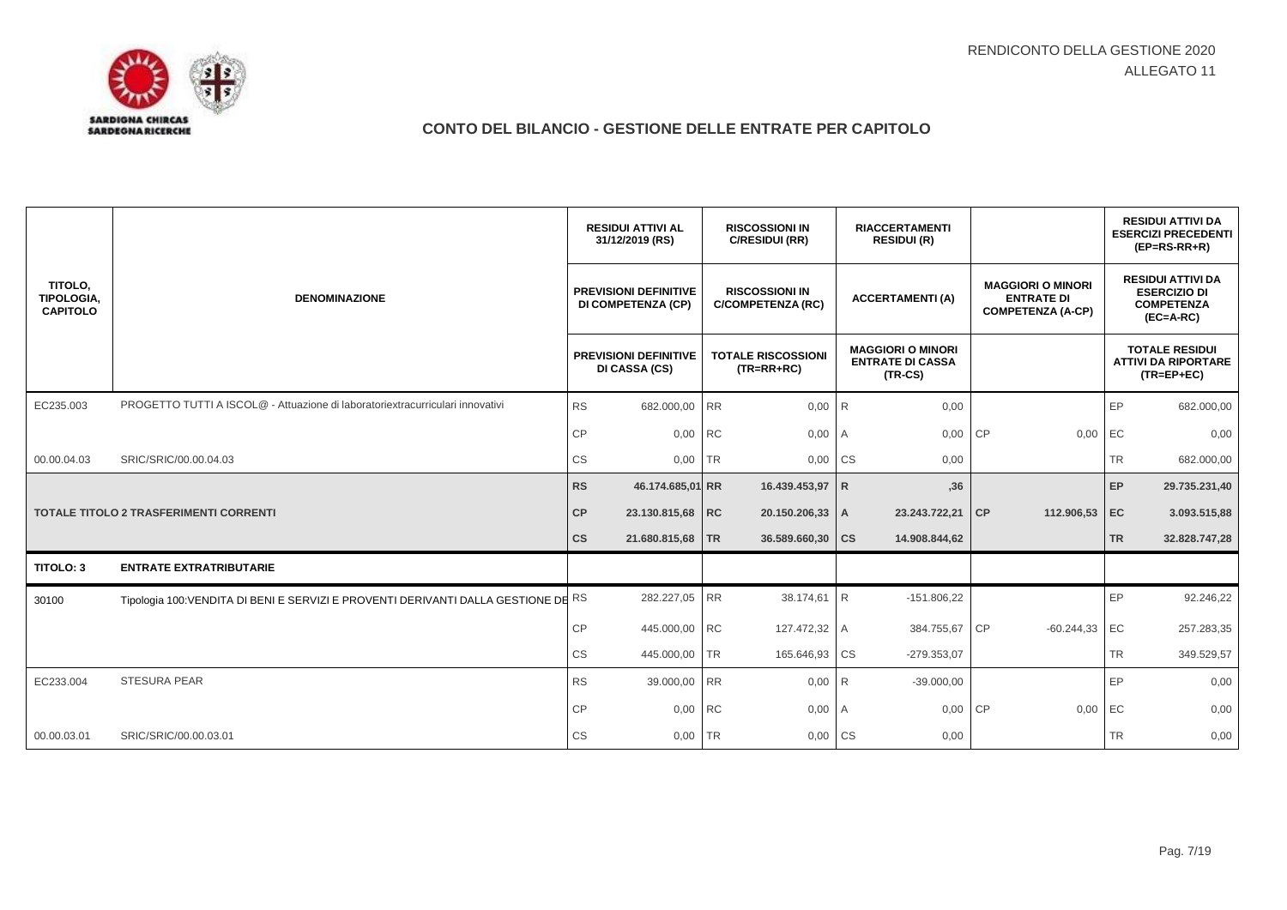

|                                          |                                                                                    |               | <b>RESIDUI ATTIVI AL</b><br>31/12/2019 (RS)               |           | <b>RISCOSSIONI IN</b><br>C/RESIDUI (RR)           | <b>RIACCERTAMENTI</b><br><b>RESIDUI (R)</b> |                                                                  |           |                                                                           |           | <b>RESIDUI ATTIVI DA</b><br><b>ESERCIZI PRECEDENTI</b><br>$(EP=RS-RR+R)$            |
|------------------------------------------|------------------------------------------------------------------------------------|---------------|-----------------------------------------------------------|-----------|---------------------------------------------------|---------------------------------------------|------------------------------------------------------------------|-----------|---------------------------------------------------------------------------|-----------|-------------------------------------------------------------------------------------|
| TITOLO,<br>TIPOLOGIA,<br><b>CAPITOLO</b> | <b>DENOMINAZIONE</b>                                                               |               | <b>PREVISIONI DEFINITIVE</b><br><b>DI COMPETENZA (CP)</b> |           | <b>RISCOSSIONI IN</b><br><b>C/COMPETENZA (RC)</b> |                                             | <b>ACCERTAMENTI(A)</b>                                           |           | <b>MAGGIORI O MINORI</b><br><b>ENTRATE DI</b><br><b>COMPETENZA (A-CP)</b> |           | <b>RESIDUI ATTIVI DA</b><br><b>ESERCIZIO DI</b><br><b>COMPETENZA</b><br>$(EC=A-RC)$ |
|                                          |                                                                                    |               | <b>PREVISIONI DEFINITIVE</b><br>DI CASSA (CS)             |           | <b>TOTALE RISCOSSIONI</b><br>$(TR=RR+RC)$         |                                             | <b>MAGGIORI O MINORI</b><br><b>ENTRATE DI CASSA</b><br>$(TR-CS)$ |           |                                                                           |           | <b>TOTALE RESIDUI</b><br><b>ATTIVI DA RIPORTARE</b><br>$(TR = EP + EC)$             |
| EC235.003                                | PROGETTO TUTTI A ISCOL@ - Attuazione di laboratoriextracurriculari innovativi      | <b>RS</b>     | 682.000,00 RR                                             |           | 0,00                                              | $\overline{R}$                              | 0,00                                                             |           |                                                                           | EP        | 682.000,00                                                                          |
|                                          |                                                                                    | <b>CP</b>     | 0,00 RC                                                   |           | 0,00                                              | I A                                         | 0,00                                                             | <b>CP</b> | 0,00                                                                      | EC        | 0,00                                                                                |
| 00.00.04.03                              | SRIC/SRIC/00.00.04.03                                                              | СS            | 0,00                                                      | <b>TR</b> | 0,00                                              | <b>CS</b>                                   | 0,00                                                             |           |                                                                           | <b>TR</b> | 682.000,00                                                                          |
|                                          |                                                                                    | <b>RS</b>     | 46.174.685,01 RR                                          |           | 16.439.453,97 R                                   |                                             | ,36                                                              |           |                                                                           | EP        | 29.735.231,40                                                                       |
|                                          | <b>TOTALE TITOLO 2 TRASFERIMENTI CORRENTI</b>                                      | CP            | 23.130.815,68 RC                                          |           | 20.150.206,33 A                                   |                                             | 23.243.722,21 CP                                                 |           | 112.906,53 EC                                                             |           | 3.093.515,88                                                                        |
|                                          |                                                                                    | $\mathsf{cs}$ | 21.680.815,68 TR                                          |           | 36.589.660,30                                     | <b>CS</b>                                   | 14.908.844,62                                                    |           |                                                                           | <b>TR</b> | 32.828.747,28                                                                       |
| TITOLO: 3                                | <b>ENTRATE EXTRATRIBUTARIE</b>                                                     |               |                                                           |           |                                                   |                                             |                                                                  |           |                                                                           |           |                                                                                     |
| 30100                                    | Tipologia 100: VENDITA DI BENI E SERVIZI E PROVENTI DERIVANTI DALLA GESTIONE DE RS |               | 282.227,05 RR                                             |           | 38.174,61                                         | IR.                                         | $-151.806,22$                                                    |           |                                                                           | EP        | 92.246,22                                                                           |
|                                          |                                                                                    | CP            | 445.000,00 RC                                             |           | 127.472,32 A                                      |                                             | 384.755,67                                                       | <b>CP</b> | $-60.244,33$                                                              | EC        | 257.283,35                                                                          |
|                                          |                                                                                    | CS            | 445.000,00                                                | <b>TR</b> | 165.646,93                                        | <b>CS</b>                                   | $-279.353.07$                                                    |           |                                                                           | <b>TR</b> | 349.529,57                                                                          |
| EC233.004                                | <b>STESURA PEAR</b>                                                                | <b>RS</b>     | 39.000,00 RR                                              |           | 0,00                                              | l R                                         | $-39.000,00$                                                     |           |                                                                           | EP        | 0,00                                                                                |
|                                          |                                                                                    | <b>CP</b>     | 0,00 RC                                                   |           | 0,00                                              | I A                                         | 0,00                                                             | CP        | 0,00                                                                      | EC        | 0,00                                                                                |
| 00.00.03.01                              | SRIC/SRIC/00.00.03.01                                                              | СS            | 0,00                                                      | <b>TR</b> | 0,00                                              | <b>CS</b>                                   | 0,00                                                             |           |                                                                           | <b>TR</b> | 0,00                                                                                |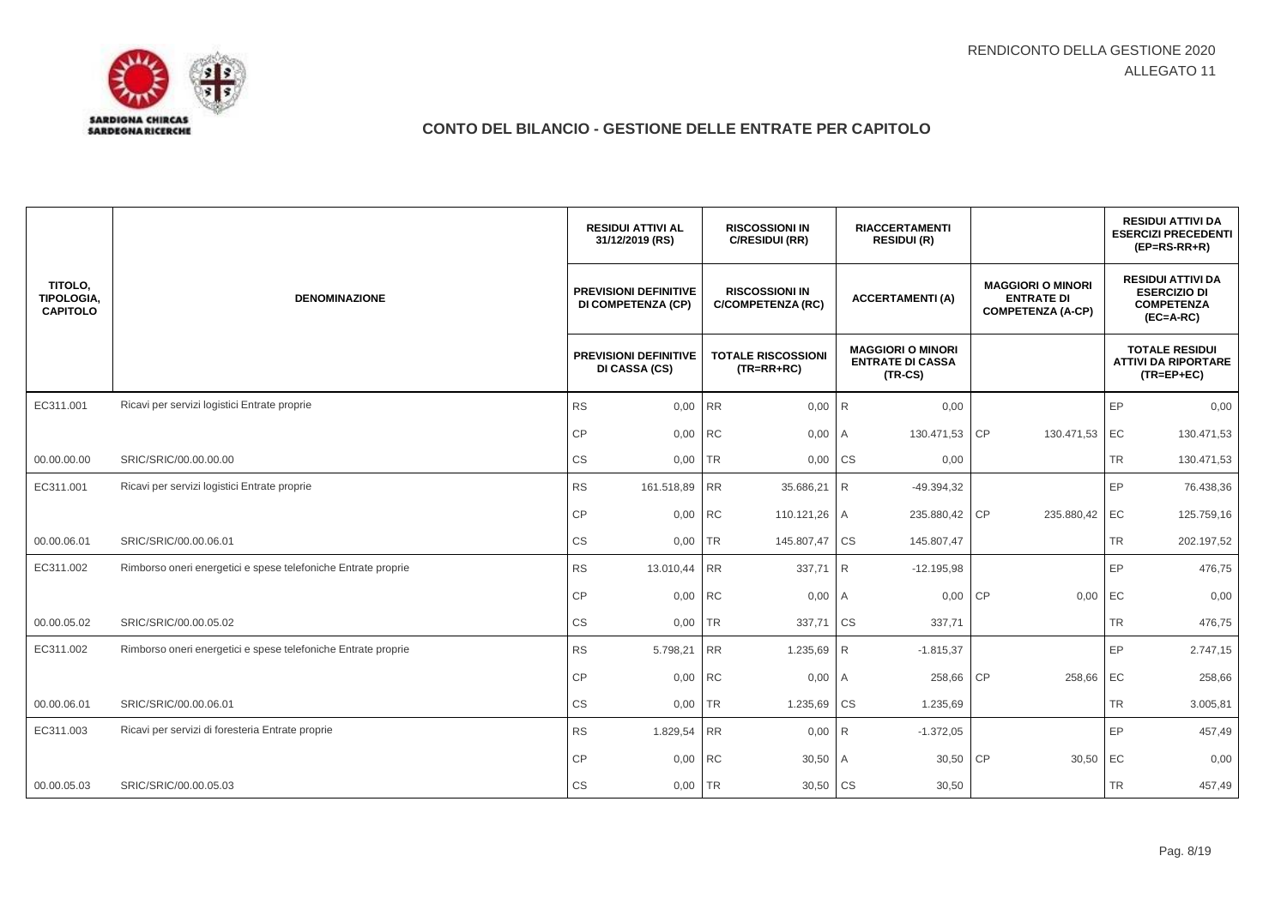

|                                          |                                                               | <b>RESIDUI ATTIVI AL</b><br>31/12/2019 (RS)               |         | <b>RISCOSSIONI IN</b><br>C/RESIDUI (RR)           |                | <b>RIACCERTAMENTI</b><br><b>RESIDUI (R)</b>                      |                                                                           |           | <b>RESIDUI ATTIVI DA</b><br><b>ESERCIZI PRECEDENTI</b><br>$(EP=RS-RR+R)$            |
|------------------------------------------|---------------------------------------------------------------|-----------------------------------------------------------|---------|---------------------------------------------------|----------------|------------------------------------------------------------------|---------------------------------------------------------------------------|-----------|-------------------------------------------------------------------------------------|
| TITOLO,<br>TIPOLOGIA,<br><b>CAPITOLO</b> | <b>DENOMINAZIONE</b>                                          | <b>PREVISIONI DEFINITIVE</b><br><b>DI COMPETENZA (CP)</b> |         | <b>RISCOSSIONI IN</b><br><b>C/COMPETENZA (RC)</b> |                | <b>ACCERTAMENTI (A)</b>                                          | <b>MAGGIORI O MINORI</b><br><b>ENTRATE DI</b><br><b>COMPETENZA (A-CP)</b> |           | <b>RESIDUI ATTIVI DA</b><br><b>ESERCIZIO DI</b><br><b>COMPETENZA</b><br>$(EC=A-RC)$ |
|                                          |                                                               | <b>PREVISIONI DEFINITIVE</b><br>DI CASSA (CS)             |         | <b>TOTALE RISCOSSIONI</b><br>$(TR=RR+RC)$         |                | <b>MAGGIORI O MINORI</b><br><b>ENTRATE DI CASSA</b><br>$(TR-CS)$ |                                                                           |           | <b>TOTALE RESIDUI</b><br><b>ATTIVI DA RIPORTARE</b><br>$(TR = EP + EC)$             |
| EC311.001                                | Ricavi per servizi logistici Entrate proprie                  | <b>RS</b>                                                 | 0.00 RR | 0,00                                              | R <sub>1</sub> | 0,00                                                             |                                                                           | EP        | 0,00                                                                                |
|                                          |                                                               | CP                                                        | 0,00    | <b>RC</b><br>0,00                                 | A              | 130.471,53                                                       | <b>CP</b><br>130.471,53                                                   | EC        | 130.471,53                                                                          |
| 00.00.00.00                              | SRIC/SRIC/00.00.00.00                                         | CS                                                        | 0,00    | <b>TR</b><br>0,00 CS                              |                | 0,00                                                             |                                                                           | <b>TR</b> | 130.471,53                                                                          |
| EC311.001                                | Ricavi per servizi logistici Entrate proprie                  | <b>RS</b><br>161.518,89 RR                                |         | 35.686,21                                         | R <sub>1</sub> | $-49.394.32$                                                     |                                                                           | EP        | 76.438,36                                                                           |
|                                          |                                                               | $\mathsf{CP}$                                             | 0,00 RC | 110.121,26 A                                      |                | 235.880,42                                                       | <b>CP</b><br>235.880,42                                                   | EC        | 125.759,16                                                                          |
| 00.00.06.01                              | SRIC/SRIC/00.00.06.01                                         | CS                                                        | 0,00 TR | 145.807,47                                        | <b>CS</b>      | 145.807,47                                                       |                                                                           | <b>TR</b> | 202.197,52                                                                          |
| EC311.002                                | Rimborso oneri energetici e spese telefoniche Entrate proprie | <b>RS</b><br>13.010,44 RR                                 |         | 337,71                                            | R              | $-12.195,98$                                                     |                                                                           | EP        | 476,75                                                                              |
|                                          |                                                               | CP                                                        | 0,00 RC | 0,00                                              | A              | 0,00 CP                                                          | 0,00                                                                      | EC        | 0,00                                                                                |
| 00.00.05.02                              | SRIC/SRIC/00.00.05.02                                         | CS                                                        | 0,00    | <b>TR</b><br>337,71                               | <b>CS</b>      | 337,71                                                           |                                                                           | <b>TR</b> | 476,75                                                                              |
| EC311.002                                | Rimborso oneri energetici e spese telefoniche Entrate proprie | <b>RS</b><br>5.798,21                                     |         | <b>RR</b><br>1.235,69                             | <b>R</b>       | $-1.815,37$                                                      |                                                                           | EP        | 2.747,15                                                                            |
|                                          |                                                               | CP                                                        | 0,00 RC | 0,00                                              | l A            | 258,66                                                           | <b>CP</b><br>258,66                                                       | EC        | 258,66                                                                              |
| 00.00.06.01                              | SRIC/SRIC/00.00.06.01                                         | CS                                                        | 0,00    | <b>TR</b><br>1.235,69                             | CS             | 1.235,69                                                         |                                                                           | <b>TR</b> | 3.005,81                                                                            |
| EC311.003                                | Ricavi per servizi di foresteria Entrate proprie              | <b>RS</b><br>1.829,54 RR                                  |         | 0,00                                              | R              | $-1.372,05$                                                      |                                                                           | EP        | 457,49                                                                              |
|                                          |                                                               | CP                                                        | 0,00 RC | 30,50                                             | A              | 30,50                                                            | <b>CP</b><br>30,50                                                        | EC        | 0,00                                                                                |
| 00.00.05.03                              | SRIC/SRIC/00.00.05.03                                         | CS                                                        | 0,00    | <b>TR</b><br>30,50                                | <b>CS</b>      | 30,50                                                            |                                                                           | <b>TR</b> | 457,49                                                                              |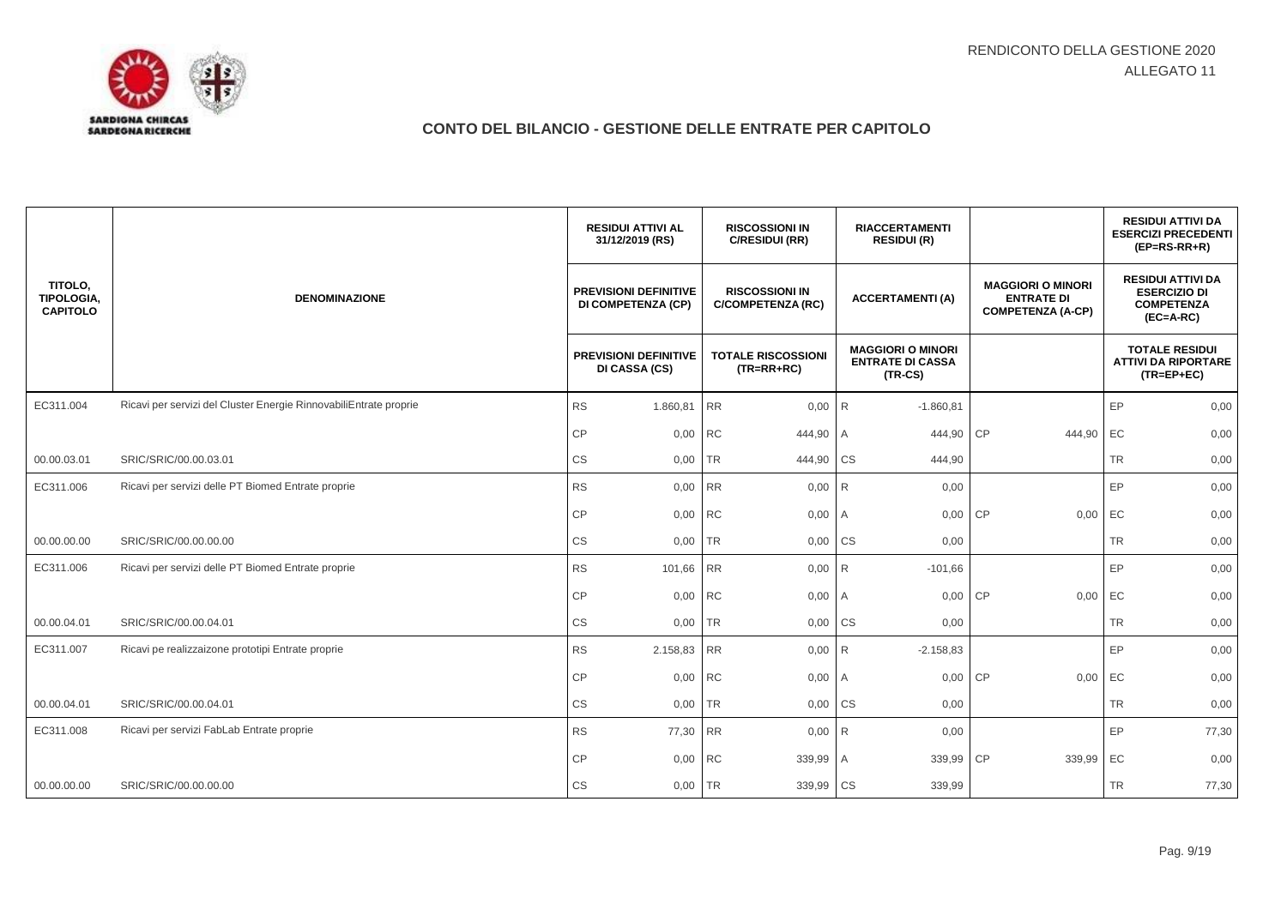

|                                                 |                                                                   | <b>RESIDUI ATTIVI AL</b><br>31/12/2019 (RS)               | <b>RISCOSSIONI IN</b><br>C/RESIDUI (RR)           | <b>RIACCERTAMENTI</b><br><b>RESIDUI (R)</b>                      |                                                                           | <b>RESIDUI ATTIVI DA</b><br><b>ESERCIZI PRECEDENTI</b><br>$(EP=RS-RR+R)$            |
|-------------------------------------------------|-------------------------------------------------------------------|-----------------------------------------------------------|---------------------------------------------------|------------------------------------------------------------------|---------------------------------------------------------------------------|-------------------------------------------------------------------------------------|
| TITOLO,<br><b>TIPOLOGIA.</b><br><b>CAPITOLO</b> | <b>DENOMINAZIONE</b>                                              | <b>PREVISIONI DEFINITIVE</b><br><b>DI COMPETENZA (CP)</b> | <b>RISCOSSIONI IN</b><br><b>C/COMPETENZA (RC)</b> | <b>ACCERTAMENTI (A)</b>                                          | <b>MAGGIORI O MINORI</b><br><b>ENTRATE DI</b><br><b>COMPETENZA (A-CP)</b> | <b>RESIDUI ATTIVI DA</b><br><b>ESERCIZIO DI</b><br><b>COMPETENZA</b><br>$(EC=A-RC)$ |
|                                                 |                                                                   | <b>PREVISIONI DEFINITIVE</b><br>DI CASSA (CS)             | <b>TOTALE RISCOSSIONI</b><br>$(TR=RR+RC)$         | <b>MAGGIORI O MINORI</b><br><b>ENTRATE DI CASSA</b><br>$(TR-CS)$ |                                                                           | <b>TOTALE RESIDUI</b><br><b>ATTIVI DA RIPORTARE</b><br>$(TR = EP + EC)$             |
| EC311.004                                       | Ricavi per servizi del Cluster Energie RinnovabiliEntrate proprie | <b>RS</b><br>1.860,81                                     | <b>RR</b><br>0,00                                 | $-1.860,81$<br>R <sub>1</sub>                                    |                                                                           | EP<br>0,00                                                                          |
|                                                 |                                                                   | CP<br>0,00                                                | <b>RC</b><br>444,90                               | 444,90<br>ΙA.                                                    | <b>CP</b><br>444,90                                                       | EC<br>0,00                                                                          |
| 00.00.03.01                                     | SRIC/SRIC/00.00.03.01                                             | CS<br>0,00                                                | <b>TR</b><br>444,90 CS                            | 444,90                                                           |                                                                           | <b>TR</b><br>0,00                                                                   |
| EC311.006                                       | Ricavi per servizi delle PT Biomed Entrate proprie                | <b>RS</b><br>0,00 RR                                      | 0,00                                              | R<br>0,00                                                        |                                                                           | EP<br>0,00                                                                          |
|                                                 |                                                                   | CP<br>0,00 RC                                             | 0,00                                              | 0,00<br>I A                                                      | CP<br>0,00                                                                | EC<br>0,00                                                                          |
| 00.00.00.00                                     | SRIC/SRIC/00.00.00.00                                             | CS<br>0,00 TR                                             | 0,00                                              | <b>CS</b><br>0,00                                                |                                                                           | <b>TR</b><br>0,00                                                                   |
| EC311.006                                       | Ricavi per servizi delle PT Biomed Entrate proprie                | <b>RS</b><br>101,66 RR                                    | 0,00                                              | R <sub>1</sub><br>$-101,66$                                      |                                                                           | EP<br>0,00                                                                          |
|                                                 |                                                                   | CP<br>0,00 RC                                             | 0,00                                              | 0,00<br>I A                                                      | CP<br>0,00                                                                | EC<br>0,00                                                                          |
| 00.00.04.01                                     | SRIC/SRIC/00.00.04.01                                             | CS<br>0,00                                                | <b>TR</b><br>0,00                                 | <b>CS</b><br>0,00                                                |                                                                           | <b>TR</b><br>0,00                                                                   |
| EC311.007                                       | Ricavi pe realizzaizone prototipi Entrate proprie                 | <b>RS</b><br>2.158,83 RR                                  | 0,00                                              | R<br>$-2.158,83$                                                 |                                                                           | EP<br>0,00                                                                          |
|                                                 |                                                                   | CP<br>0,00 RC                                             | 0,00                                              | 0,00<br>l A                                                      | <b>CP</b><br>0,00                                                         | EC<br>0,00                                                                          |
| 00.00.04.01                                     | SRIC/SRIC/00.00.04.01                                             | CS<br>0,00                                                | <b>TR</b><br>0,00                                 | <b>CS</b><br>0,00                                                |                                                                           | <b>TR</b><br>0,00                                                                   |
| EC311.008                                       | Ricavi per servizi FabLab Entrate proprie                         | <b>RS</b><br>77,30 RR                                     | 0,00                                              | 0,00<br>R <sub>1</sub>                                           |                                                                           | EP<br>77,30                                                                         |
|                                                 |                                                                   | CP<br>0,00 RC                                             | 339,99                                            | 339,99<br>A                                                      | CP<br>339,99                                                              | EC<br>0,00                                                                          |
| 00.00.00.00                                     | SRIC/SRIC/00.00.00.00                                             | CS<br>0,00 TR                                             | 339,99                                            | <b>CS</b><br>339,99                                              |                                                                           | <b>TR</b><br>77,30                                                                  |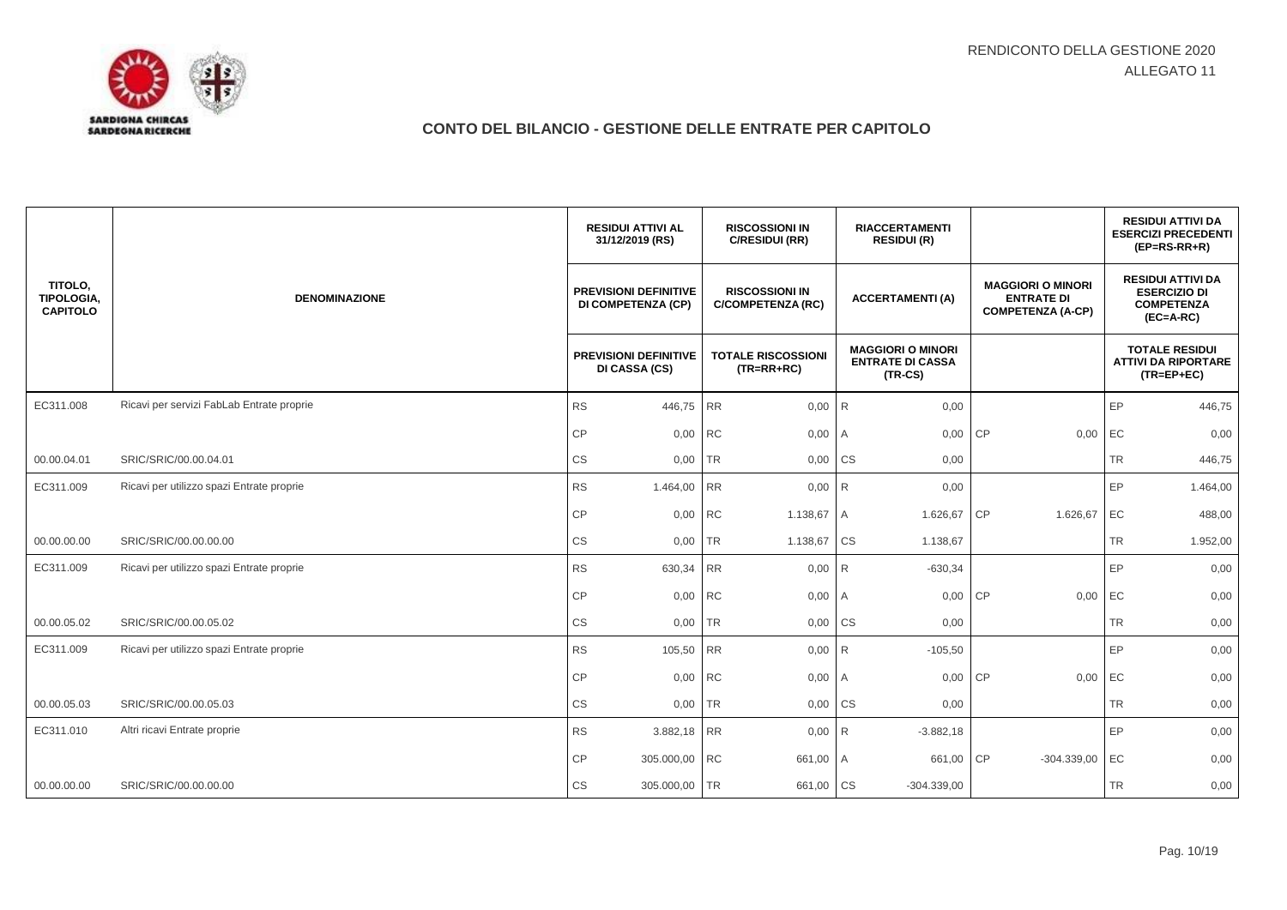

|                                          |                                           | <b>RESIDUI ATTIVI AL</b><br>31/12/2019 (RS)               | <b>RISCOSSIONI IN</b><br>C/RESIDUI (RR)           | <b>RIACCERTAMENTI</b><br><b>RESIDUI (R)</b>                      |                                                                           | <b>RESIDUI ATTIVI DA</b><br><b>ESERCIZI PRECEDENTI</b><br>$(EP=RS-RR+R)$            |
|------------------------------------------|-------------------------------------------|-----------------------------------------------------------|---------------------------------------------------|------------------------------------------------------------------|---------------------------------------------------------------------------|-------------------------------------------------------------------------------------|
| TITOLO,<br>TIPOLOGIA,<br><b>CAPITOLO</b> | <b>DENOMINAZIONE</b>                      | <b>PREVISIONI DEFINITIVE</b><br><b>DI COMPETENZA (CP)</b> | <b>RISCOSSIONI IN</b><br><b>C/COMPETENZA (RC)</b> | <b>ACCERTAMENTI (A)</b>                                          | <b>MAGGIORI O MINORI</b><br><b>ENTRATE DI</b><br><b>COMPETENZA (A-CP)</b> | <b>RESIDUI ATTIVI DA</b><br><b>ESERCIZIO DI</b><br><b>COMPETENZA</b><br>$(EC=A-RC)$ |
|                                          |                                           | <b>PREVISIONI DEFINITIVE</b><br>DI CASSA (CS)             | <b>TOTALE RISCOSSIONI</b><br>$(TR=RR+RC)$         | <b>MAGGIORI O MINORI</b><br><b>ENTRATE DI CASSA</b><br>$(TR-CS)$ |                                                                           | <b>TOTALE RESIDUI</b><br><b>ATTIVI DA RIPORTARE</b><br>$(TR = EP + EC)$             |
| EC311.008                                | Ricavi per servizi FabLab Entrate proprie | <b>RS</b><br>446,75 RR                                    | 0,00                                              | R <sub>1</sub><br>0,00                                           |                                                                           | EP<br>446,75                                                                        |
|                                          |                                           | CP<br>0,00 RC                                             | 0,00                                              | 0,00<br>A                                                        | CP<br>0,00                                                                | EC<br>0,00                                                                          |
| 00.00.04.01                              | SRIC/SRIC/00.00.04.01                     | CS<br>0,00                                                | <b>TR</b><br>0,00 CS                              | 0,00                                                             |                                                                           | <b>TR</b><br>446,75                                                                 |
| EC311.009                                | Ricavi per utilizzo spazi Entrate proprie | <b>RS</b><br>1.464,00 RR                                  | $0,00$ R                                          | 0,00                                                             |                                                                           | EP<br>1.464,00                                                                      |
|                                          |                                           | CP<br>0,00 RC                                             | 1.138,67                                          | 1.626,67<br>A                                                    | CP<br>1.626,67                                                            | EC<br>488,00                                                                        |
| 00.00.00.00                              | SRIC/SRIC/00.00.00.00                     | CS<br>0,00 TR                                             | 1.138,67                                          | <b>CS</b><br>1.138,67                                            |                                                                           | TR<br>1.952,00                                                                      |
| EC311.009                                | Ricavi per utilizzo spazi Entrate proprie | <b>RS</b><br>630,34                                       | <b>RR</b><br>0,00                                 | R<br>$-630,34$                                                   |                                                                           | EP<br>0,00                                                                          |
|                                          |                                           | CP<br>0,00 RC                                             | 0,00                                              | 0,00<br>I A                                                      | CP<br>0,00                                                                | EC<br>0,00                                                                          |
| 00.00.05.02                              | SRIC/SRIC/00.00.05.02                     | CS<br>0,00                                                | <b>TR</b><br>0,00                                 | <b>CS</b><br>0,00                                                |                                                                           | <b>TR</b><br>0,00                                                                   |
| EC311.009                                | Ricavi per utilizzo spazi Entrate proprie | <b>RS</b><br>105,50 RR                                    | 0,00                                              | R<br>$-105,50$                                                   |                                                                           | EP<br>0,00                                                                          |
|                                          |                                           | CP<br>0,00 RC                                             | 0,00                                              | 0,00<br>A                                                        | CP<br>0,00                                                                | EC<br>0,00                                                                          |
| 00.00.05.03                              | SRIC/SRIC/00.00.05.03                     | CS<br>0,00                                                | <b>TR</b><br>0,00                                 | <b>CS</b><br>0,00                                                |                                                                           | <b>TR</b><br>0,00                                                                   |
| EC311.010                                | Altri ricavi Entrate proprie              | <b>RS</b><br>3.882,18 RR                                  | 0,00                                              | R<br>$-3.882,18$                                                 |                                                                           | EP<br>0,00                                                                          |
|                                          |                                           | CP<br>305.000,00 RC                                       | 661,00                                            | 661,00<br>l A                                                    | CP<br>$-304.339,00$                                                       | EC<br>0,00                                                                          |
| 00.00.00.00                              | SRIC/SRIC/00.00.00.00                     | CS<br>305.000,00 TR                                       | 661,00                                            | <b>CS</b><br>$-304.339,00$                                       |                                                                           | <b>TR</b><br>0,00                                                                   |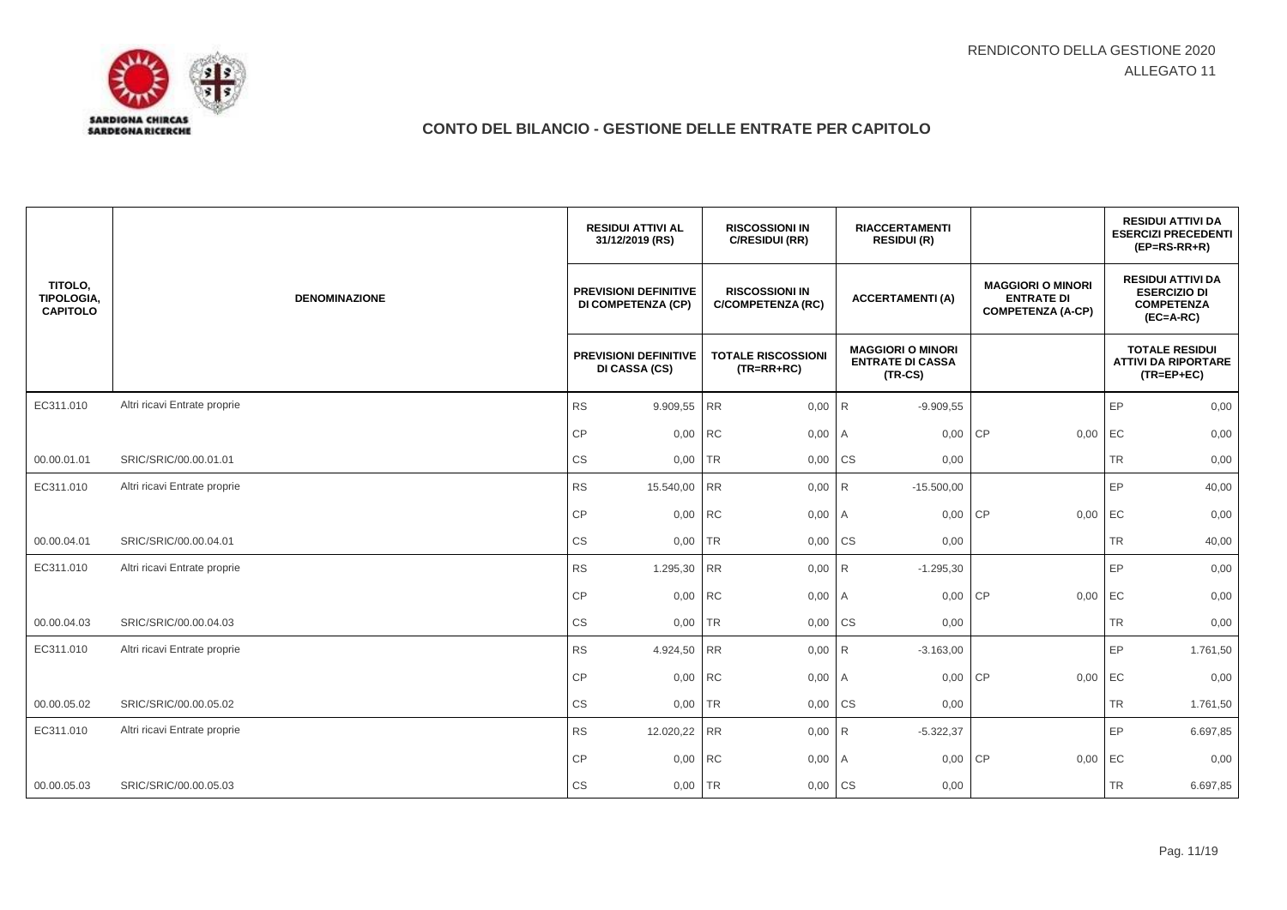|                                          |                              | <b>RESIDUI ATTIVI AL</b><br>31/12/2019 (RS)               | <b>RISCOSSIONI IN</b><br>C/RESIDUI (RR)           | <b>RIACCERTAMENTI</b><br><b>RESIDUI (R)</b>                      |                                                                           | <b>RESIDUI ATTIVI DA</b><br><b>ESERCIZI PRECEDENTI</b><br>$(EP=RS-RR+R)$            |
|------------------------------------------|------------------------------|-----------------------------------------------------------|---------------------------------------------------|------------------------------------------------------------------|---------------------------------------------------------------------------|-------------------------------------------------------------------------------------|
| TITOLO,<br>TIPOLOGIA,<br><b>CAPITOLO</b> | <b>DENOMINAZIONE</b>         | <b>PREVISIONI DEFINITIVE</b><br><b>DI COMPETENZA (CP)</b> | <b>RISCOSSIONI IN</b><br><b>C/COMPETENZA (RC)</b> | <b>ACCERTAMENTI(A)</b>                                           | <b>MAGGIORI O MINORI</b><br><b>ENTRATE DI</b><br><b>COMPETENZA (A-CP)</b> | <b>RESIDUI ATTIVI DA</b><br><b>ESERCIZIO DI</b><br><b>COMPETENZA</b><br>$(EC=A-RC)$ |
|                                          |                              | <b>PREVISIONI DEFINITIVE</b><br>DI CASSA (CS)             | <b>TOTALE RISCOSSIONI</b><br>$(TR=RR+RC)$         | <b>MAGGIORI O MINORI</b><br><b>ENTRATE DI CASSA</b><br>$(TR-CS)$ |                                                                           | <b>TOTALE RESIDUI</b><br><b>ATTIVI DA RIPORTARE</b><br>$(TR = EP + EC)$             |
| EC311.010                                | Altri ricavi Entrate proprie | <b>RS</b><br>9.909,55 RR                                  | 0,00                                              | R<br>$-9.909,55$                                                 |                                                                           | EP<br>0,00                                                                          |
|                                          |                              | CP<br>0,00 RC                                             | 0,00                                              | 0,00 CP<br>I A                                                   | 0,00                                                                      | EC<br>0,00                                                                          |
| 00.00.01.01                              | SRIC/SRIC/00.00.01.01        | CS<br>$0,00$ TR                                           | 0,00 CS                                           | 0,00                                                             |                                                                           | <b>TR</b><br>0,00                                                                   |
| EC311.010                                | Altri ricavi Entrate proprie | <b>RS</b><br>15.540,00 RR                                 | 0,00                                              | R<br>$-15.500,00$                                                |                                                                           | EP<br>40,00                                                                         |
|                                          |                              | CP<br>0,00 RC                                             | 0,00 A                                            | 0,00 CP                                                          | 0,00                                                                      | EC<br>0,00                                                                          |
| 00.00.04.01                              | SRIC/SRIC/00.00.04.01        | $\mathbb{C}\mathbb{S}$<br>0,00 TR                         | 0,00                                              | <b>CS</b><br>0,00                                                |                                                                           | <b>TR</b><br>40,00                                                                  |
| EC311.010                                | Altri ricavi Entrate proprie | <b>RS</b><br>1.295,30 RR                                  | 0,00                                              | R<br>$-1.295,30$                                                 |                                                                           | EP<br>0,00                                                                          |
|                                          |                              | CP<br>0,00 RC                                             | 0,00                                              | 0,00 CP<br>I A                                                   | 0,00                                                                      | EC<br>0,00                                                                          |
| 00.00.04.03                              | SRIC/SRIC/00.00.04.03        | CS<br>0,00                                                | <b>TR</b><br>0,00                                 | <b>CS</b><br>0,00                                                |                                                                           | <b>TR</b><br>0,00                                                                   |
| EC311.010                                | Altri ricavi Entrate proprie | <b>RS</b><br>4.924,50 RR                                  | $0,00$ R                                          | $-3.163,00$                                                      |                                                                           | EP<br>1.761,50                                                                      |
|                                          |                              | CP<br>0,00 RC                                             | 0,00                                              | 0,00<br>l A                                                      | <b>CP</b><br>0,00                                                         | EC<br>0,00                                                                          |
| 00.00.05.02                              | SRIC/SRIC/00.00.05.02        | $\mathbb{C}\mathbb{S}$<br>0,00                            | <b>TR</b><br>0,00                                 | <b>CS</b><br>0,00                                                |                                                                           | <b>TR</b><br>1.761,50                                                               |
| EC311.010                                | Altri ricavi Entrate proprie | <b>RS</b><br>12.020,22 RR                                 | 0,00                                              | $-5.322,37$<br>R                                                 |                                                                           | EP<br>6.697,85                                                                      |
|                                          |                              | CP<br>0,00 RC                                             | 0,00                                              | 0,00<br>A                                                        | <b>CP</b><br>0,00                                                         | EC<br>0,00                                                                          |
| 00.00.05.03                              | SRIC/SRIC/00.00.05.03        | CS<br>0,00 TR                                             | 0,00 CS                                           | 0,00                                                             |                                                                           | <b>TR</b><br>6.697,85                                                               |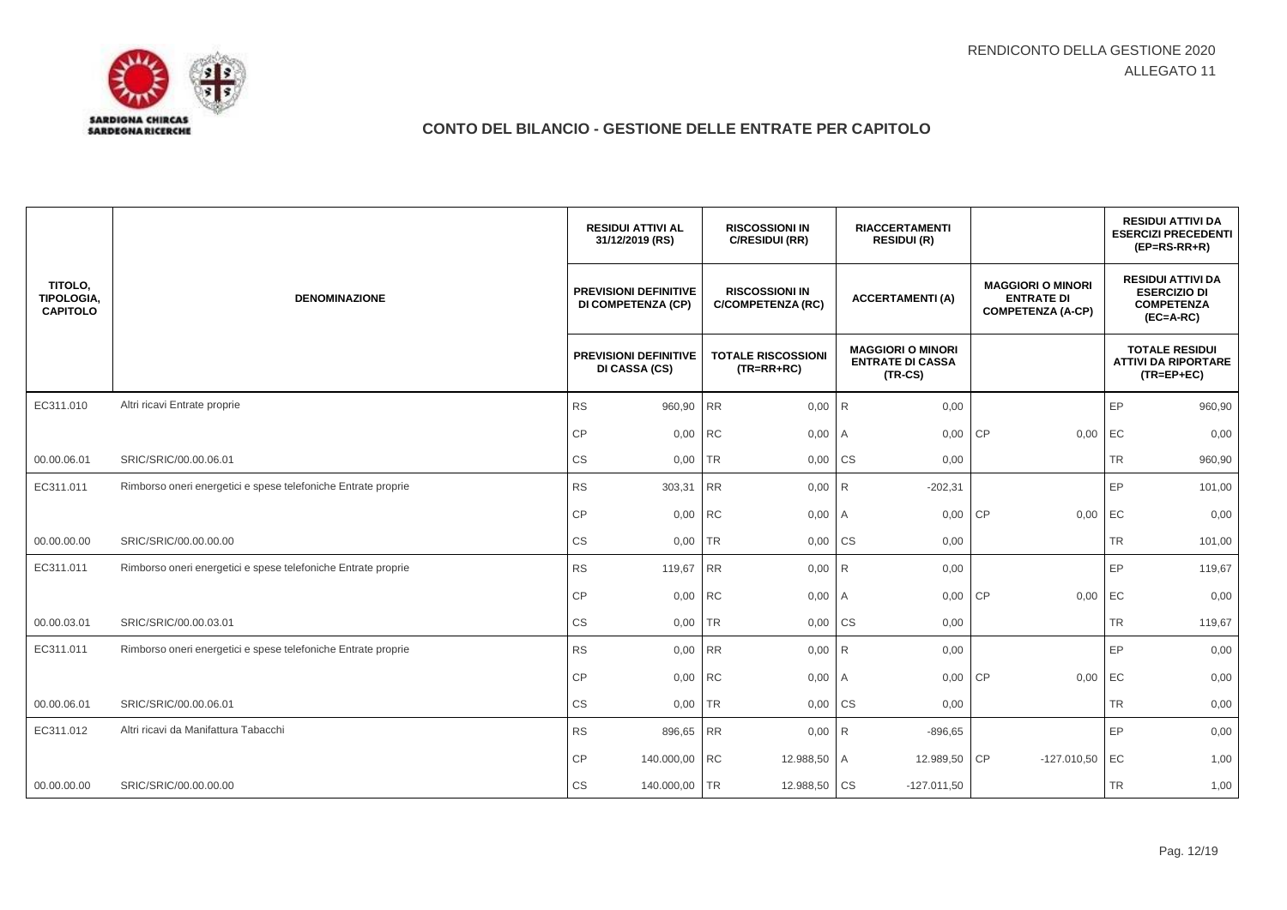

|                                                 |                                                               | <b>RESIDUI ATTIVI AL</b><br>31/12/2019 (RS)               | <b>RISCOSSIONI IN</b><br>C/RESIDUI (RR)           | <b>RIACCERTAMENTI</b><br><b>RESIDUI (R)</b>                      |                                                                           | <b>RESIDUI ATTIVI DA</b><br><b>ESERCIZI PRECEDENTI</b><br>$(EP=RS-RR+R)$            |
|-------------------------------------------------|---------------------------------------------------------------|-----------------------------------------------------------|---------------------------------------------------|------------------------------------------------------------------|---------------------------------------------------------------------------|-------------------------------------------------------------------------------------|
| TITOLO,<br><b>TIPOLOGIA.</b><br><b>CAPITOLO</b> | <b>DENOMINAZIONE</b>                                          | <b>PREVISIONI DEFINITIVE</b><br><b>DI COMPETENZA (CP)</b> | <b>RISCOSSIONI IN</b><br><b>C/COMPETENZA (RC)</b> | <b>ACCERTAMENTI(A)</b>                                           | <b>MAGGIORI O MINORI</b><br><b>ENTRATE DI</b><br><b>COMPETENZA (A-CP)</b> | <b>RESIDUI ATTIVI DA</b><br><b>ESERCIZIO DI</b><br><b>COMPETENZA</b><br>$(EC=A-RC)$ |
|                                                 |                                                               | <b>PREVISIONI DEFINITIVE</b><br>DI CASSA (CS)             | <b>TOTALE RISCOSSIONI</b><br>$(TR=RR+RC)$         | <b>MAGGIORI O MINORI</b><br><b>ENTRATE DI CASSA</b><br>$(TR-CS)$ |                                                                           | <b>TOTALE RESIDUI</b><br><b>ATTIVI DA RIPORTARE</b><br>$(TR = EP + EC)$             |
| EC311.010                                       | Altri ricavi Entrate proprie                                  | <b>RS</b><br>960,90 RR                                    | 0,00                                              | R<br>0,00                                                        |                                                                           | EP<br>960,90                                                                        |
|                                                 |                                                               | CP<br>0,00                                                | <b>RC</b><br>0,00                                 | $\overline{A}$<br>0,00                                           | CP<br>0,00                                                                | EC<br>0,00                                                                          |
| 00.00.06.01                                     | SRIC/SRIC/00.00.06.01                                         | CS<br>0,00                                                | <b>TR</b><br>0,00 CS                              | 0,00                                                             |                                                                           | <b>TR</b><br>960,90                                                                 |
| EC311.011                                       | Rimborso oneri energetici e spese telefoniche Entrate proprie | <b>RS</b><br>303,31                                       | <b>RR</b><br>0,00                                 | R<br>$-202,31$                                                   |                                                                           | EP<br>101,00                                                                        |
|                                                 |                                                               | CP<br>0,00 RC                                             | 0,00 A                                            | 0,00                                                             | <b>CP</b><br>0,00                                                         | EC<br>0,00                                                                          |
| 00.00.00.00                                     | SRIC/SRIC/00.00.00.00                                         | CS<br>$0,00$ TR                                           | 0,00                                              | <b>CS</b><br>0,00                                                |                                                                           | <b>TR</b><br>101,00                                                                 |
| EC311.011                                       | Rimborso oneri energetici e spese telefoniche Entrate proprie | <b>RS</b><br>119,67                                       | <b>RR</b><br>0,00                                 | R <sub>1</sub><br>0,00                                           |                                                                           | EP<br>119,67                                                                        |
|                                                 |                                                               | CP<br>0,00 RC                                             | 0,00                                              | 0,00<br>A                                                        | CP<br>0,00                                                                | EC<br>0,00                                                                          |
| 00.00.03.01                                     | SRIC/SRIC/00.00.03.01                                         | CS<br>0,00                                                | <b>TR</b><br>0,00                                 | <b>CS</b><br>0,00                                                |                                                                           | <b>TR</b><br>119,67                                                                 |
| EC311.011                                       | Rimborso oneri energetici e spese telefoniche Entrate proprie | <b>RS</b><br>0,00 RR                                      | $0,00$ R                                          | 0,00                                                             |                                                                           | EP<br>0,00                                                                          |
|                                                 |                                                               | CP<br>0,00 RC                                             | 0,00                                              | 0,00<br>I A                                                      | <b>CP</b><br>0,00                                                         | EC<br>0,00                                                                          |
| 00.00.06.01                                     | SRIC/SRIC/00.00.06.01                                         | CS<br>0,00                                                | <b>TR</b><br>0,00                                 | <b>CS</b><br>0,00                                                |                                                                           | <b>TR</b><br>0,00                                                                   |
| EC311.012                                       | Altri ricavi da Manifattura Tabacchi                          | <b>RS</b><br>896,65 RR                                    | 0,00                                              | R<br>$-896,65$                                                   |                                                                           | EP<br>0,00                                                                          |
|                                                 |                                                               | CP<br>140.000,00 RC                                       | 12.988,50                                         | 12.989,50<br>A                                                   | CP<br>$-127.010,50$                                                       | EC<br>1,00                                                                          |
| 00.00.00.00                                     | SRIC/SRIC/00.00.00.00                                         | <b>CS</b><br>140.000,00 TR                                | 12.988,50 CS                                      | $-127.011,50$                                                    |                                                                           | <b>TR</b><br>1,00                                                                   |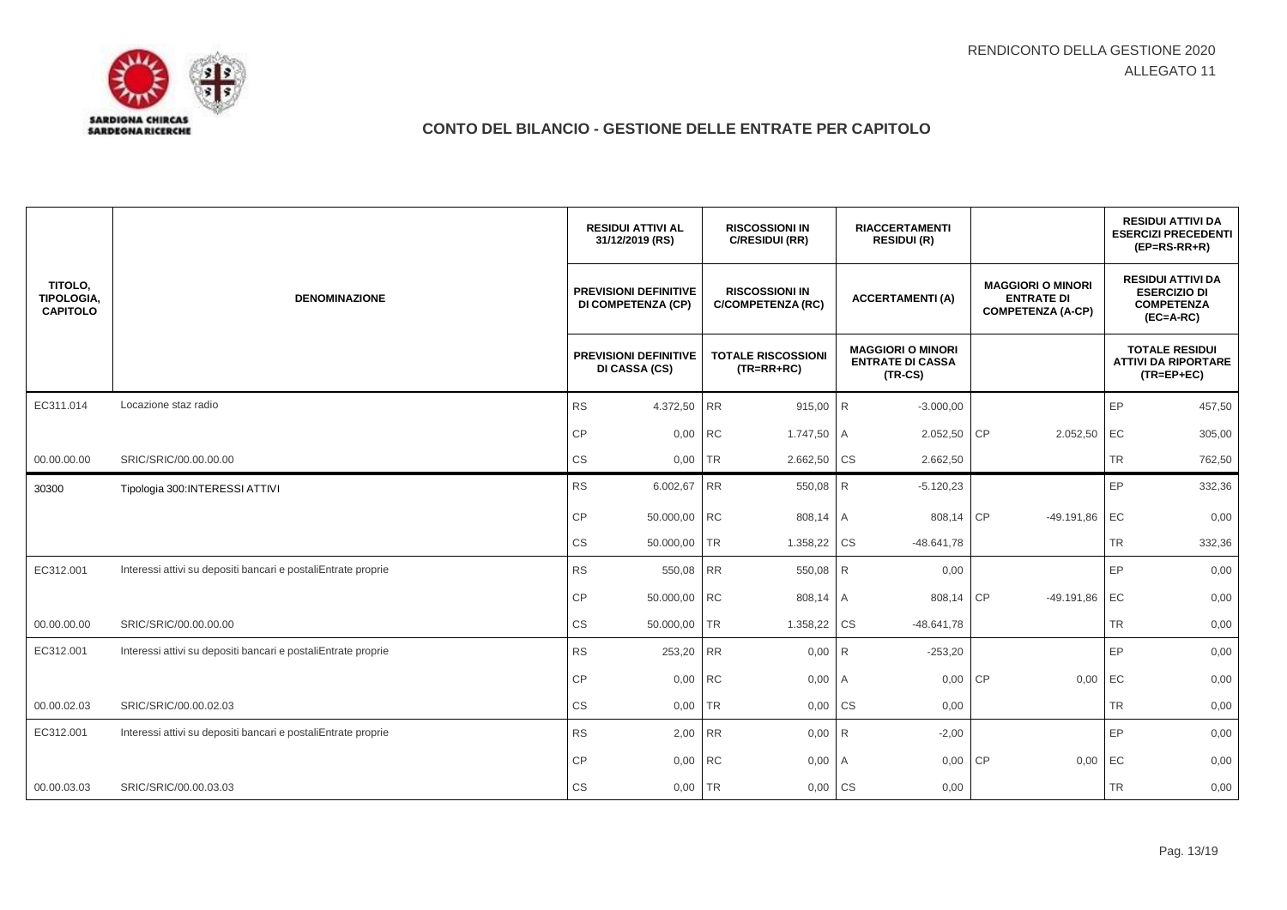

|                                                 |                                                               | <b>RESIDUI ATTIVI AL</b><br>31/12/2019 (RS)               |           | <b>RISCOSSIONI IN</b><br>C/RESIDUI (RR)           |                | <b>RIACCERTAMENTI</b><br><b>RESIDUI (R)</b>                      |                                                                           |           | <b>RESIDUI ATTIVI DA</b><br><b>ESERCIZI PRECEDENTI</b><br>$(EP=RS-RR+R)$            |
|-------------------------------------------------|---------------------------------------------------------------|-----------------------------------------------------------|-----------|---------------------------------------------------|----------------|------------------------------------------------------------------|---------------------------------------------------------------------------|-----------|-------------------------------------------------------------------------------------|
| TITOLO.<br><b>TIPOLOGIA.</b><br><b>CAPITOLO</b> | <b>DENOMINAZIONE</b>                                          | <b>PREVISIONI DEFINITIVE</b><br><b>DI COMPETENZA (CP)</b> |           | <b>RISCOSSIONI IN</b><br><b>C/COMPETENZA (RC)</b> |                | <b>ACCERTAMENTI(A)</b>                                           | <b>MAGGIORI O MINORI</b><br><b>ENTRATE DI</b><br><b>COMPETENZA (A-CP)</b> |           | <b>RESIDUI ATTIVI DA</b><br><b>ESERCIZIO DI</b><br><b>COMPETENZA</b><br>$(EC=A-RC)$ |
|                                                 |                                                               | <b>PREVISIONI DEFINITIVE</b><br>DI CASSA (CS)             |           | <b>TOTALE RISCOSSIONI</b><br>$(TR = RR + RC)$     |                | <b>MAGGIORI O MINORI</b><br><b>ENTRATE DI CASSA</b><br>$(TR-CS)$ |                                                                           |           | <b>TOTALE RESIDUI</b><br><b>ATTIVI DA RIPORTARE</b><br>$(TR = EP + EC)$             |
| EC311.014                                       | Locazione staz radio                                          | <b>RS</b><br>4.372,50 RR                                  |           | 915,00 R                                          |                | $-3.000,00$                                                      |                                                                           | EP        | 457,50                                                                              |
|                                                 |                                                               | <b>CP</b><br>0,00                                         | <b>RC</b> | 1.747,50                                          | $\overline{A}$ | 2.052,50                                                         | CP<br>2.052,50                                                            | EC        | 305,00                                                                              |
| 00.00.00.00                                     | SRIC/SRIC/00.00.00.00                                         | CS<br>0,00                                                | TR        | 2.662,50                                          | <b>CS</b>      | 2.662,50                                                         |                                                                           | TR        | 762,50                                                                              |
| 30300                                           | Tipologia 300: INTERESSI ATTIVI                               | <b>RS</b><br>6.002,67                                     | RR        | 550,08                                            | R              | $-5.120,23$                                                      |                                                                           | EP        | 332,36                                                                              |
|                                                 |                                                               | <b>CP</b><br>50.000,00 RC                                 |           | 808,14                                            | I A            | 808,14 CP                                                        | $-49.191,86$                                                              | EC        | 0,00                                                                                |
|                                                 |                                                               | <b>CS</b><br>50.000,00                                    | <b>TR</b> | 1.358,22                                          | <b>CS</b>      | $-48.641,78$                                                     |                                                                           | <b>TR</b> | 332,36                                                                              |
| EC312.001                                       | Interessi attivi su depositi bancari e postaliEntrate proprie | <b>RS</b><br>550,08                                       | <b>RR</b> | 550,08                                            | R              | 0,00                                                             |                                                                           | EP        | 0,00                                                                                |
|                                                 |                                                               | <b>CP</b><br>50.000,00 RC                                 |           | 808,14 A                                          |                | 808,14 CP                                                        | $-49.191,86$                                                              | EC        | 0,00                                                                                |
| 00.00.00.00                                     | SRIC/SRIC/00.00.00.00                                         | <b>CS</b><br>50.000,00                                    | <b>TR</b> | 1.358,22                                          | <b>CS</b>      | $-48.641,78$                                                     |                                                                           | <b>TR</b> | 0,00                                                                                |
| EC312.001                                       | Interessi attivi su depositi bancari e postaliEntrate proprie | <b>RS</b><br>253,20                                       | <b>RR</b> | 0,00                                              | R              | $-253,20$                                                        |                                                                           | EP        | 0,00                                                                                |
|                                                 |                                                               | <b>CP</b>                                                 | 0,00 RC   | 0,00                                              | $\overline{A}$ | 0,00                                                             | <b>CP</b><br>0,00                                                         | EC        | 0,00                                                                                |
| 00.00.02.03                                     | SRIC/SRIC/00.00.02.03                                         | <b>CS</b><br>0,00                                         | <b>TR</b> | 0,00                                              | <b>CS</b>      | 0,00                                                             |                                                                           | <b>TR</b> | 0,00                                                                                |
| EC312.001                                       | Interessi attivi su depositi bancari e postaliEntrate proprie | <b>RS</b><br>2,00                                         | <b>RR</b> | 0,00                                              | R              | $-2,00$                                                          |                                                                           | EP        | 0,00                                                                                |
|                                                 |                                                               | CP<br>0,00                                                | <b>RC</b> | 0,00                                              | $\overline{A}$ | 0,00                                                             | <b>CP</b><br>0,00                                                         | EC        | 0,00                                                                                |
| 00.00.03.03                                     | SRIC/SRIC/00.00.03.03                                         | <b>CS</b><br>0,00                                         | <b>TR</b> | 0,00                                              | <b>CS</b>      | 0,00                                                             |                                                                           | <b>TR</b> | 0,00                                                                                |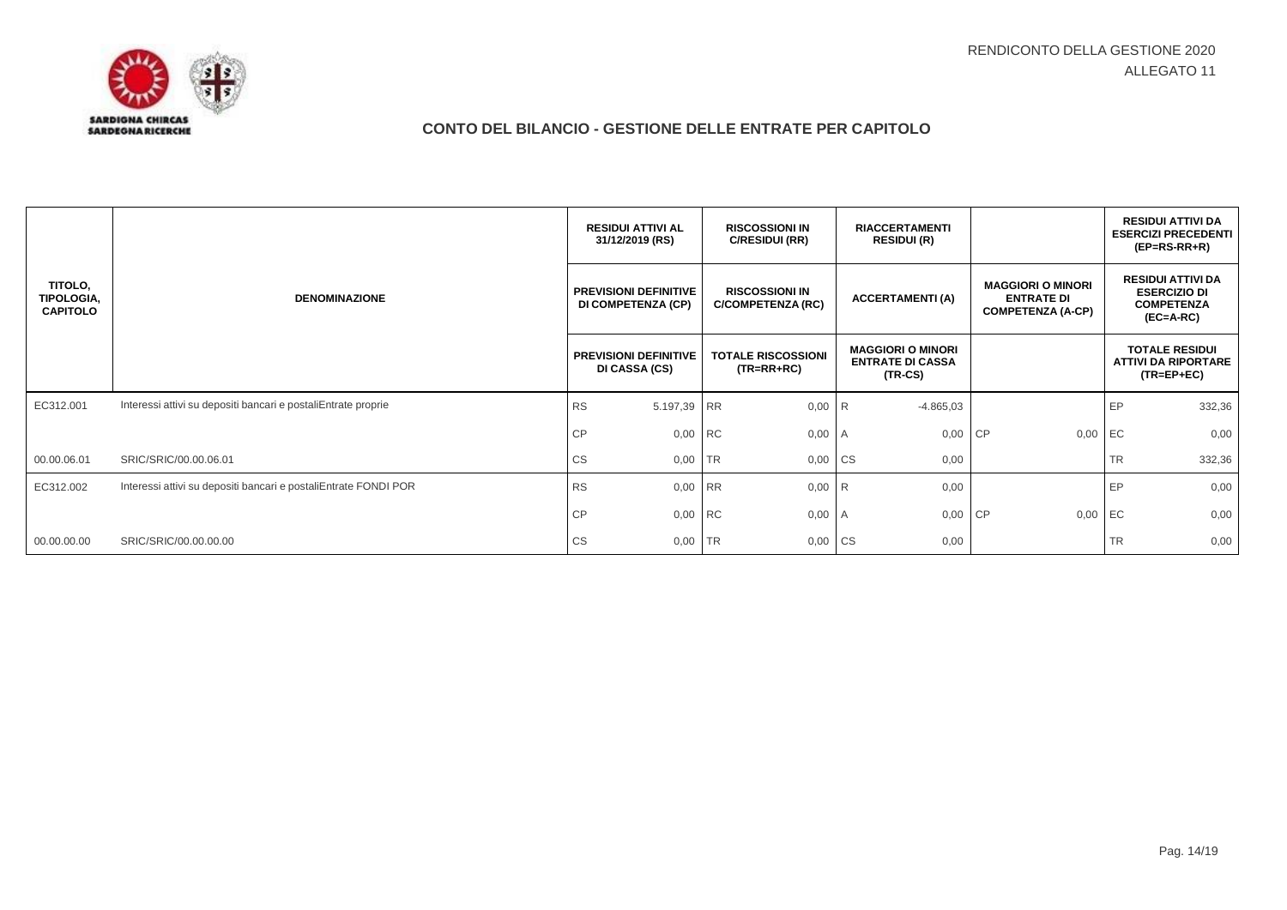

|                                                 |                                                                 | <b>RESIDUI ATTIVI AL</b><br>31/12/2019 (RS)        | <b>RISCOSSIONI IN</b><br>C/RESIDUI (RR)           | <b>RIACCERTAMENTI</b><br><b>RESIDUI (R)</b>                      |                                                                           | <b>RESIDUI ATTIVI DA</b><br><b>ESERCIZI PRECEDENTI</b><br>$(EP=RS-RR+R)$            |  |
|-------------------------------------------------|-----------------------------------------------------------------|----------------------------------------------------|---------------------------------------------------|------------------------------------------------------------------|---------------------------------------------------------------------------|-------------------------------------------------------------------------------------|--|
| TITOLO,<br><b>TIPOLOGIA,</b><br><b>CAPITOLO</b> | <b>DENOMINAZIONE</b>                                            | <b>PREVISIONI DEFINITIVE</b><br>DI COMPETENZA (CP) | <b>RISCOSSIONI IN</b><br><b>C/COMPETENZA (RC)</b> | <b>ACCERTAMENTI (A)</b>                                          | <b>MAGGIORI O MINORI</b><br><b>ENTRATE DI</b><br><b>COMPETENZA (A-CP)</b> | <b>RESIDUI ATTIVI DA</b><br><b>ESERCIZIO DI</b><br><b>COMPETENZA</b><br>$(EC=A-RC)$ |  |
|                                                 | <b>PREVISIONI DEFINITIVE</b><br>DI CASSA (CS)                   |                                                    | <b>TOTALE RISCOSSIONI</b><br>$(TR = RR + RC)$     | <b>MAGGIORI O MINORI</b><br><b>ENTRATE DI CASSA</b><br>$(TR-CS)$ |                                                                           | <b>TOTALE RESIDUI</b><br><b>ATTIVI DA RIPORTARE</b><br>$(TR = EP + EC)$             |  |
| EC312.001                                       | Interessi attivi su depositi bancari e postaliEntrate proprie   | <b>RS</b><br>5.197,39 RR                           | 0,00                                              | $-4.865,03$<br>I R                                               |                                                                           | EP<br>332,36                                                                        |  |
|                                                 |                                                                 | 0,00 RC<br><b>CP</b>                               | 0,00                                              | 0,00 CP<br>A                                                     | 0,00                                                                      | EC<br>0,00                                                                          |  |
| 00.00.06.01                                     | SRIC/SRIC/00.00.06.01                                           | <b>CS</b><br>0,00                                  | <b>TR</b><br>0,00                                 | <b>CS</b><br>0,00                                                |                                                                           | <b>TR</b><br>332,36                                                                 |  |
| EC312.002                                       | Interessi attivi su depositi bancari e postaliEntrate FONDI POR | <b>RS</b><br>0,00 RR                               | 0,00                                              | I <sub>R</sub><br>0,00                                           |                                                                           | EP<br>0,00                                                                          |  |
|                                                 |                                                                 | <b>CP</b><br>0,00 RC                               | 0,00                                              | 0,00 CP<br>I A                                                   | 0,00                                                                      | EC<br>0,00                                                                          |  |
| 00.00.00.00                                     | SRIC/SRIC/00.00.00.00                                           | <b>CS</b><br>0,00                                  | <b>TR</b><br>0,00                                 | <b>CS</b><br>0,00                                                |                                                                           | <b>TR</b><br>0,00                                                                   |  |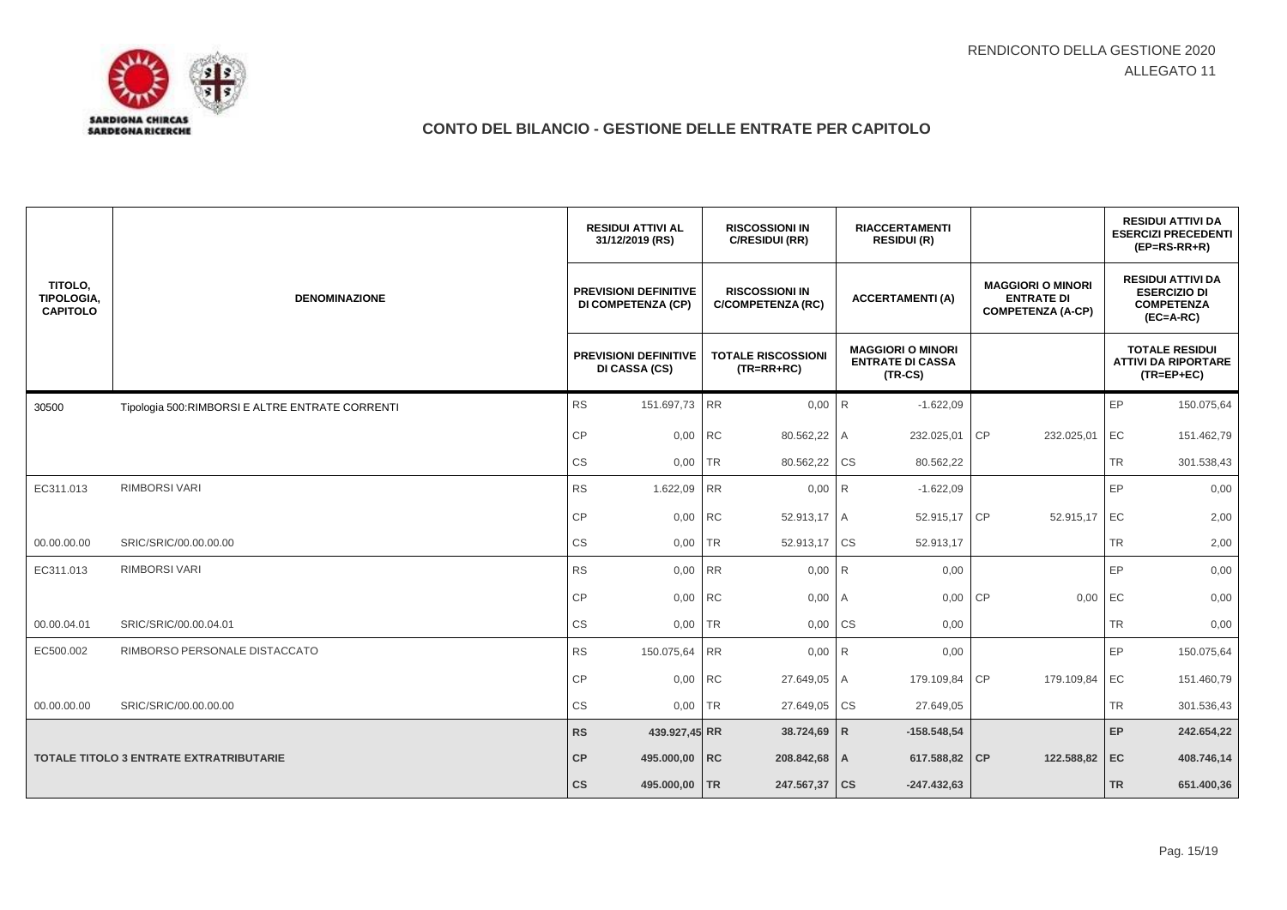

|                                          |                                                 | <b>RESIDUI ATTIVI AL</b><br>31/12/2019 (RS)               |           | <b>RISCOSSIONI IN</b><br>C/RESIDUI (RR)           |                | <b>RIACCERTAMENTI</b><br><b>RESIDUI (R)</b>                      |           |                                                                           |           | <b>RESIDUI ATTIVI DA</b><br><b>ESERCIZI PRECEDENTI</b><br>$(EP=RS-RR+R)$            |
|------------------------------------------|-------------------------------------------------|-----------------------------------------------------------|-----------|---------------------------------------------------|----------------|------------------------------------------------------------------|-----------|---------------------------------------------------------------------------|-----------|-------------------------------------------------------------------------------------|
| TITOLO.<br>TIPOLOGIA,<br><b>CAPITOLO</b> | <b>DENOMINAZIONE</b>                            | <b>PREVISIONI DEFINITIVE</b><br><b>DI COMPETENZA (CP)</b> |           | <b>RISCOSSIONI IN</b><br><b>C/COMPETENZA (RC)</b> |                | <b>ACCERTAMENTI (A)</b>                                          |           | <b>MAGGIORI O MINORI</b><br><b>ENTRATE DI</b><br><b>COMPETENZA (A-CP)</b> |           | <b>RESIDUI ATTIVI DA</b><br><b>ESERCIZIO DI</b><br><b>COMPETENZA</b><br>$(EC=A-RC)$ |
|                                          |                                                 | <b>PREVISIONI DEFINITIVE</b><br>DI CASSA (CS)             |           | <b>TOTALE RISCOSSIONI</b><br>$(TR=RR+RC)$         |                | <b>MAGGIORI O MINORI</b><br><b>ENTRATE DI CASSA</b><br>$(TR-CS)$ |           |                                                                           |           | <b>TOTALE RESIDUI</b><br><b>ATTIVI DA RIPORTARE</b><br>$(TR = EP + EC)$             |
| 30500                                    | Tipologia 500:RIMBORSI E ALTRE ENTRATE CORRENTI | <b>RS</b><br>151.697,73                                   | <b>RR</b> | $0,00$ R                                          |                | $-1.622,09$                                                      |           |                                                                           | EP        | 150.075,64                                                                          |
|                                          |                                                 | CP<br>0,00                                                | <b>RC</b> | 80.562,22 A                                       |                | 232.025,01                                                       | CP        | 232.025,01                                                                | EC        | 151.462,79                                                                          |
|                                          |                                                 | CS<br>0,00                                                | <b>TR</b> | 80.562,22 CS                                      |                | 80.562,22                                                        |           |                                                                           | <b>TR</b> | 301.538,43                                                                          |
| EC311.013                                | <b>RIMBORSI VARI</b>                            | <b>RS</b><br>1.622,09                                     | <b>RR</b> | $0,00$ R                                          |                | $-1.622,09$                                                      |           |                                                                           | EP        | 0,00                                                                                |
|                                          |                                                 | CP<br>0,00                                                | <b>RC</b> | 52.913,17 A                                       |                | 52.915,17 CP                                                     |           | 52.915,17                                                                 | EC        | 2,00                                                                                |
| 00.00.00.00                              | SRIC/SRIC/00.00.00.00                           | CS                                                        | $0,00$ TR | 52.913,17                                         | <b>CS</b>      | 52.913,17                                                        |           |                                                                           | <b>TR</b> | 2,00                                                                                |
| EC311.013                                | RIMBORSI VARI                                   | <b>RS</b><br>0,00                                         | <b>RR</b> | 0,00                                              | R              | 0,00                                                             |           |                                                                           | EP        | 0,00                                                                                |
|                                          |                                                 | <b>CP</b>                                                 | 0,00 RC   | 0,00                                              | $\overline{A}$ | 0,00                                                             | <b>CP</b> | 0,00                                                                      | EC        | 0,00                                                                                |
| 00.00.04.01                              | SRIC/SRIC/00.00.04.01                           | <b>CS</b><br>0,00                                         | <b>TR</b> | 0,00                                              | <b>CS</b>      | 0,00                                                             |           |                                                                           | <b>TR</b> | 0,00                                                                                |
| EC500.002                                | RIMBORSO PERSONALE DISTACCATO                   | <b>RS</b><br>150.075,64 RR                                |           | $0,00$ R                                          |                | 0,00                                                             |           |                                                                           | EP        | 150.075,64                                                                          |
|                                          |                                                 | CP                                                        | 0,00 RC   | 27.649,05 A                                       |                | 179.109,84                                                       | <b>CP</b> | 179.109,84 EC                                                             |           | 151.460,79                                                                          |
| 00.00.00.00                              | SRIC/SRIC/00.00.00.00                           | CS<br>0,00                                                | <b>TR</b> | 27.649,05                                         | <b>CS</b>      | 27.649,05                                                        |           |                                                                           | <b>TR</b> | 301.536,43                                                                          |
|                                          |                                                 | RS<br>439.927,45 RR                                       |           | 38.724,69 R                                       |                | $-158.548,54$                                                    |           |                                                                           | EP        | 242.654,22                                                                          |
|                                          | TOTALE TITOLO 3 ENTRATE EXTRATRIBUTARIE         | CP<br>495.000,00 RC                                       |           | 208.842,68 A                                      |                | 617.588,82 CP                                                    |           | 122.588,82                                                                | EC        | 408.746,14                                                                          |
|                                          |                                                 | 495.000,00 TR<br>$\mathsf{CS}$                            |           | 247.567,37                                        | <b>CS</b>      | $-247.432.63$                                                    |           |                                                                           | <b>TR</b> | 651.400,36                                                                          |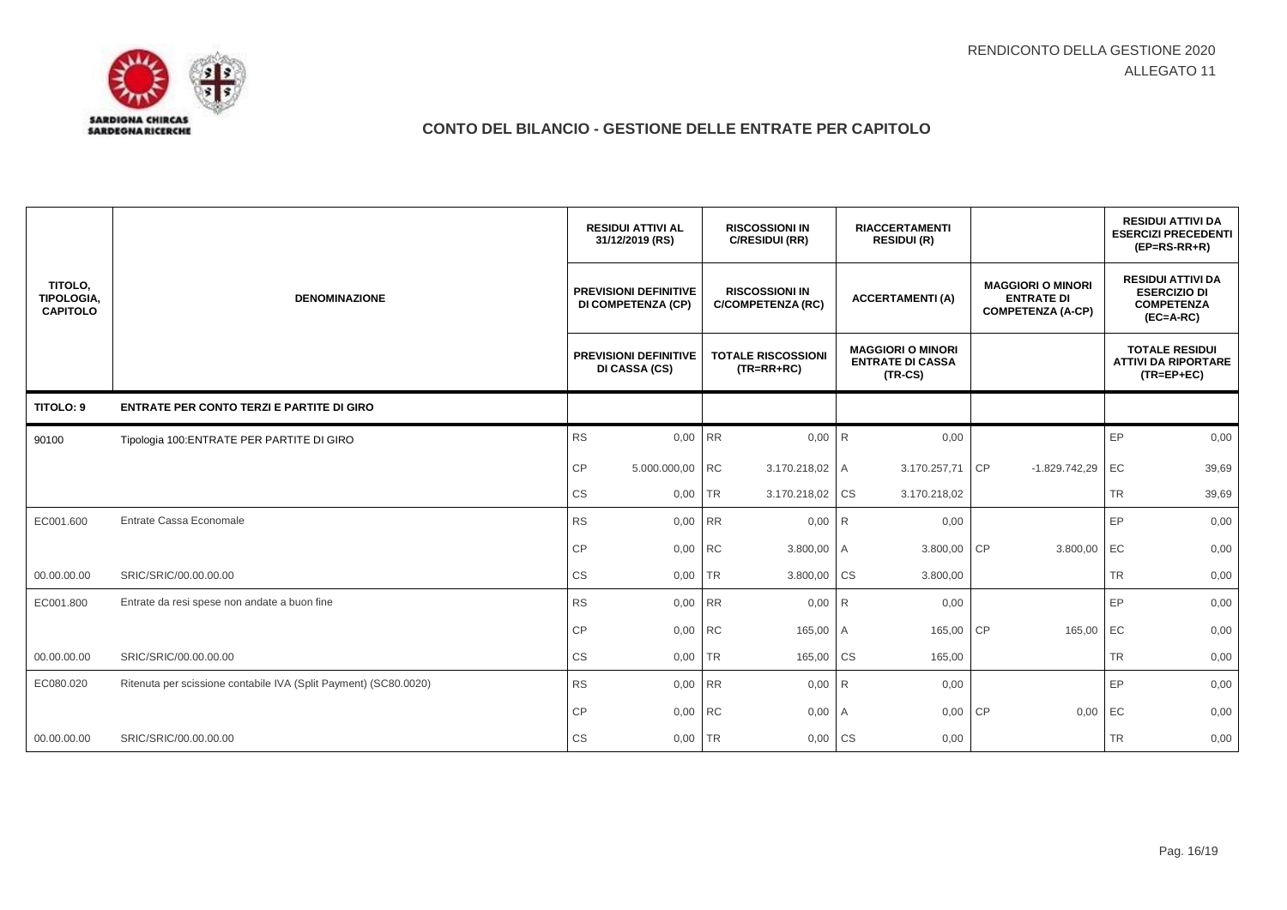

|                                          |                                                                  | <b>RESIDUI ATTIVI AL</b><br>31/12/2019 (RS)                                                                    | <b>RISCOSSIONI IN</b><br>C/RESIDUI (RR)   | <b>RIACCERTAMENTI</b><br><b>RESIDUI (R)</b>                      |                                                                           | <b>RESIDUI ATTIVI DA</b><br><b>ESERCIZI PRECEDENTI</b><br>$(EP=RS-RR+R)$            |
|------------------------------------------|------------------------------------------------------------------|----------------------------------------------------------------------------------------------------------------|-------------------------------------------|------------------------------------------------------------------|---------------------------------------------------------------------------|-------------------------------------------------------------------------------------|
| TITOLO,<br>TIPOLOGIA,<br><b>CAPITOLO</b> | <b>DENOMINAZIONE</b>                                             | <b>RISCOSSIONI IN</b><br><b>PREVISIONI DEFINITIVE</b><br><b>DI COMPETENZA (CP)</b><br><b>C/COMPETENZA (RC)</b> |                                           | <b>ACCERTAMENTI(A)</b>                                           | <b>MAGGIORI O MINORI</b><br><b>ENTRATE DI</b><br><b>COMPETENZA (A-CP)</b> | <b>RESIDUI ATTIVI DA</b><br><b>ESERCIZIO DI</b><br><b>COMPETENZA</b><br>$(EC=A-RC)$ |
|                                          |                                                                  | <b>PREVISIONI DEFINITIVE</b><br>DI CASSA (CS)                                                                  | <b>TOTALE RISCOSSIONI</b><br>$(TR=RR+RC)$ | <b>MAGGIORI O MINORI</b><br><b>ENTRATE DI CASSA</b><br>$(TR-CS)$ |                                                                           | <b>TOTALE RESIDUI</b><br><b>ATTIVI DA RIPORTARE</b><br>$(TR = EP + EC)$             |
| TITOLO: 9                                | <b>ENTRATE PER CONTO TERZI E PARTITE DI GIRO</b>                 |                                                                                                                |                                           |                                                                  |                                                                           |                                                                                     |
| 90100                                    | Tipologia 100: ENTRATE PER PARTITE DI GIRO                       | <b>RS</b><br>0,00                                                                                              | <b>RR</b><br>0,00                         | R<br>0,00                                                        |                                                                           | EP<br>0,00                                                                          |
|                                          |                                                                  | CP<br>5.000.000,00 RC                                                                                          | 3.170.218,02 A                            | 3.170.257,71                                                     | <b>CP</b><br>$-1.829.742,29$                                              | EC<br>39,69                                                                         |
|                                          |                                                                  | CS<br>0,00                                                                                                     | <b>TR</b><br>3.170.218,02                 | <b>CS</b><br>3.170.218,02                                        |                                                                           | <b>TR</b><br>39,69                                                                  |
| EC001.600                                | Entrate Cassa Economale                                          | <b>RS</b><br>0,00 RR                                                                                           | 0,00                                      | 0,00<br>I <sub>R</sub>                                           |                                                                           | EP<br>0,00                                                                          |
|                                          |                                                                  | <b>CP</b><br>0,00 RC                                                                                           | 3.800,00 A                                | 3.800,00                                                         | CP<br>3.800,00                                                            | EC<br>0,00                                                                          |
| 00.00.00.00                              | SRIC/SRIC/00.00.00.00                                            | CS<br>0,00                                                                                                     | <b>TR</b><br>3.800,00                     | <b>CS</b><br>3.800,00                                            |                                                                           | <b>TR</b><br>0,00                                                                   |
| EC001.800                                | Entrate da resi spese non andate a buon fine                     | <b>RS</b><br>0,00 RR                                                                                           | 0,00                                      | I <sub>R</sub><br>0,00                                           |                                                                           | EP<br>0,00                                                                          |
|                                          |                                                                  | CP<br>0,00 RC                                                                                                  | 165,00                                    | 165,00<br>I A                                                    | CP<br>165,00                                                              | EC<br>0,00                                                                          |
| 00.00.00.00                              | SRIC/SRIC/00.00.00.00                                            | CS<br>0,00                                                                                                     | TR<br>165,00                              | <b>CS</b><br>165,00                                              |                                                                           | <b>TR</b><br>0,00                                                                   |
| EC080.020                                | Ritenuta per scissione contabile IVA (Split Payment) (SC80.0020) | RS<br>0,00 RR                                                                                                  | 0,00                                      | R<br>0,00                                                        |                                                                           | EP<br>0,00                                                                          |
|                                          |                                                                  | <b>CP</b><br>0,00 RC                                                                                           | 0,00                                      | 0,00<br>I A                                                      | CP<br>0,00                                                                | EC<br>0,00                                                                          |
| 00.00.00.00                              | SRIC/SRIC/00.00.00.00                                            | <b>CS</b><br>0,00                                                                                              | <b>TR</b><br>0,00                         | <b>CS</b><br>0,00                                                |                                                                           | <b>TR</b><br>0,00                                                                   |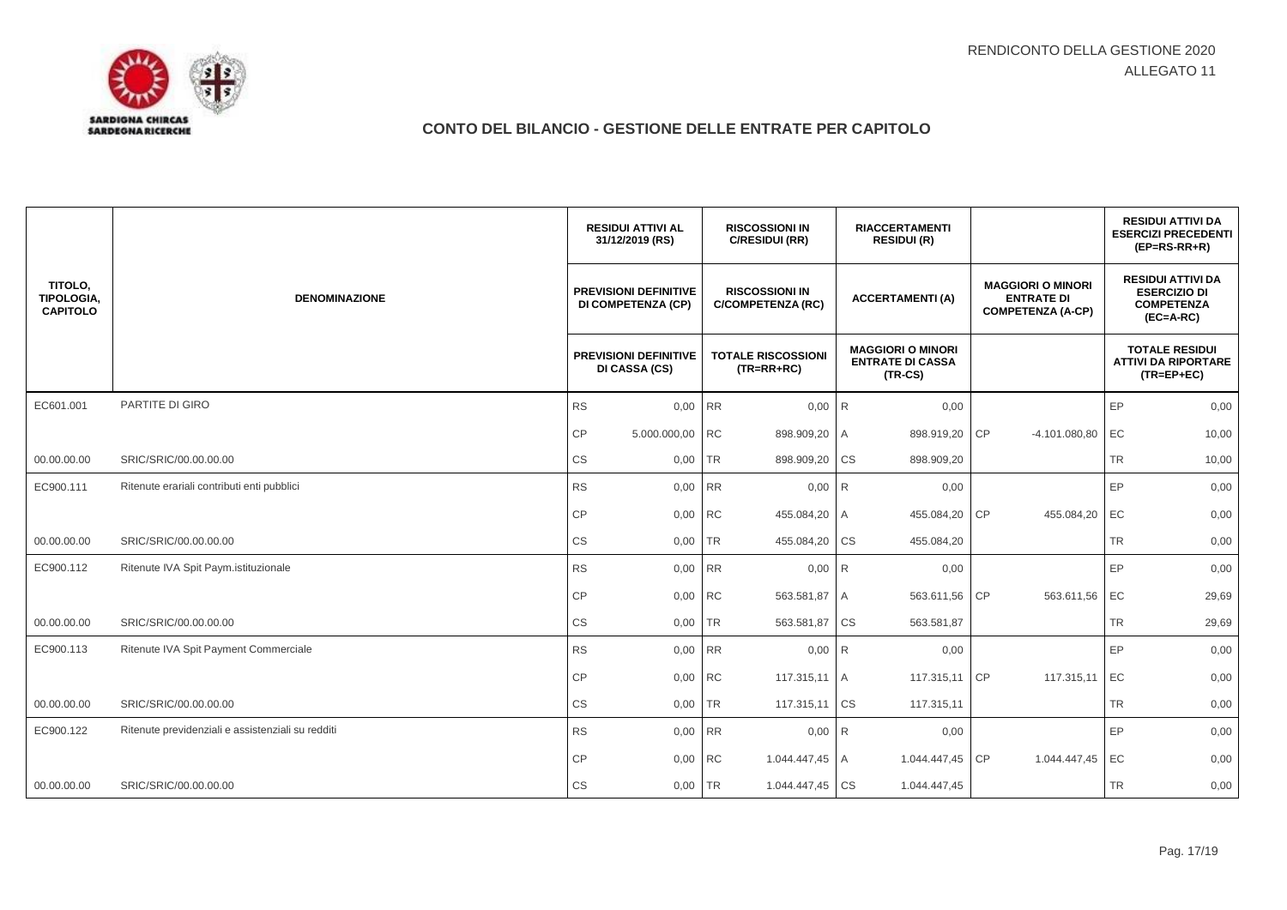

|                                                 |                                                   |           | <b>RESIDUI ATTIVI AL</b><br>31/12/2019 (RS)        |           | <b>RISCOSSIONI IN</b><br>C/RESIDUI (RR)           |                | <b>RIACCERTAMENTI</b><br><b>RESIDUI (R)</b>                      |    |                                                                           |           | <b>RESIDUI ATTIVI DA</b><br><b>ESERCIZI PRECEDENTI</b><br>$(EP=RS-RR+R)$            |
|-------------------------------------------------|---------------------------------------------------|-----------|----------------------------------------------------|-----------|---------------------------------------------------|----------------|------------------------------------------------------------------|----|---------------------------------------------------------------------------|-----------|-------------------------------------------------------------------------------------|
| TITOLO.<br><b>TIPOLOGIA.</b><br><b>CAPITOLO</b> | <b>DENOMINAZIONE</b>                              |           | <b>PREVISIONI DEFINITIVE</b><br>DI COMPETENZA (CP) |           | <b>RISCOSSIONI IN</b><br><b>C/COMPETENZA (RC)</b> |                | <b>ACCERTAMENTI (A)</b>                                          |    | <b>MAGGIORI O MINORI</b><br><b>ENTRATE DI</b><br><b>COMPETENZA (A-CP)</b> |           | <b>RESIDUI ATTIVI DA</b><br><b>ESERCIZIO DI</b><br><b>COMPETENZA</b><br>$(EC=A-RC)$ |
|                                                 |                                                   |           | <b>PREVISIONI DEFINITIVE</b><br>DI CASSA (CS)      |           | <b>TOTALE RISCOSSIONI</b><br>$(TR=RR+RC)$         |                | <b>MAGGIORI O MINORI</b><br><b>ENTRATE DI CASSA</b><br>$(TR-CS)$ |    |                                                                           |           | <b>TOTALE RESIDUI</b><br><b>ATTIVI DA RIPORTARE</b><br>$(TR = EP + EC)$             |
| EC601.001                                       | PARTITE DI GIRO                                   | <b>RS</b> | 0,00                                               | <b>RR</b> | $0.00$ R                                          |                | 0,00                                                             |    |                                                                           | EP        | 0,00                                                                                |
|                                                 |                                                   | CP        | 5.000.000,00                                       | <b>RC</b> | 898.909,20                                        | $\overline{A}$ | 898.919,20                                                       | CP | $-4.101.080,80$                                                           | EC        | 10,00                                                                               |
| 00.00.00.00                                     | SRIC/SRIC/00.00.00.00                             | CS        | 0,00                                               | <b>TR</b> | 898.909,20                                        | <b>CS</b>      | 898.909,20                                                       |    |                                                                           | <b>TR</b> | 10,00                                                                               |
| EC900.111                                       | Ritenute erariali contributi enti pubblici        | <b>RS</b> | 0,00                                               | <b>RR</b> | $0,00$ R                                          |                | 0,00                                                             |    |                                                                           | EP        | 0,00                                                                                |
|                                                 |                                                   | <b>CP</b> | 0,00                                               | <b>RC</b> | 455.084,20                                        | Α              | 455.084,20                                                       | CP | 455.084,20                                                                | EC        | 0,00                                                                                |
| 00.00.00.00                                     | SRIC/SRIC/00.00.00.00                             | CS        | 0,00                                               | <b>TR</b> | 455.084,20                                        | <b>CS</b>      | 455.084,20                                                       |    |                                                                           | TR        | 0,00                                                                                |
| EC900.112                                       | Ritenute IVA Spit Paym.istituzionale              | <b>RS</b> | 0,00                                               | <b>RR</b> | $0,00$ R                                          |                | 0,00                                                             |    |                                                                           | EP        | 0,00                                                                                |
|                                                 |                                                   | <b>CP</b> | 0,00                                               | <b>RC</b> | 563.581,87                                        | I A            | 563.611,56                                                       | CP | 563.611,56                                                                | EC        | 29,69                                                                               |
| 00.00.00.00                                     | SRIC/SRIC/00.00.00.00                             | CS        | 0,00                                               | <b>TR</b> | 563.581,87 CS                                     |                | 563.581,87                                                       |    |                                                                           | TR        | 29,69                                                                               |
| EC900.113                                       | Ritenute IVA Spit Payment Commerciale             | <b>RS</b> | 0,00                                               | <b>RR</b> | 0,00                                              | R              | 0,00                                                             |    |                                                                           | EP        | 0,00                                                                                |
|                                                 |                                                   | <b>CP</b> | 0,00                                               | <b>RC</b> | 117.315,11 A                                      |                | 117.315,11 CP                                                    |    | 117.315,11                                                                | EC        | 0,00                                                                                |
| 00.00.00.00                                     | SRIC/SRIC/00.00.00.00                             | CS        | 0,00                                               | <b>TR</b> | 117.315,11                                        | <b>CS</b>      | 117.315,11                                                       |    |                                                                           | <b>TR</b> | 0,00                                                                                |
| EC900.122                                       | Ritenute previdenziali e assistenziali su redditi | RS        | 0,00                                               | <b>RR</b> | 0,00                                              | R              | 0,00                                                             |    |                                                                           | EP        | 0,00                                                                                |
|                                                 |                                                   | <b>CP</b> | 0,00                                               | <b>RC</b> | 1.044.447,45 A                                    |                | 1.044.447,45                                                     | CP | 1.044.447,45                                                              | EC        | 0,00                                                                                |
| 00.00.00.00                                     | SRIC/SRIC/00.00.00.00                             | CS        | 0,00                                               | <b>TR</b> | 1.044.447,45 CS                                   |                | 1.044.447,45                                                     |    |                                                                           | TR        | 0,00                                                                                |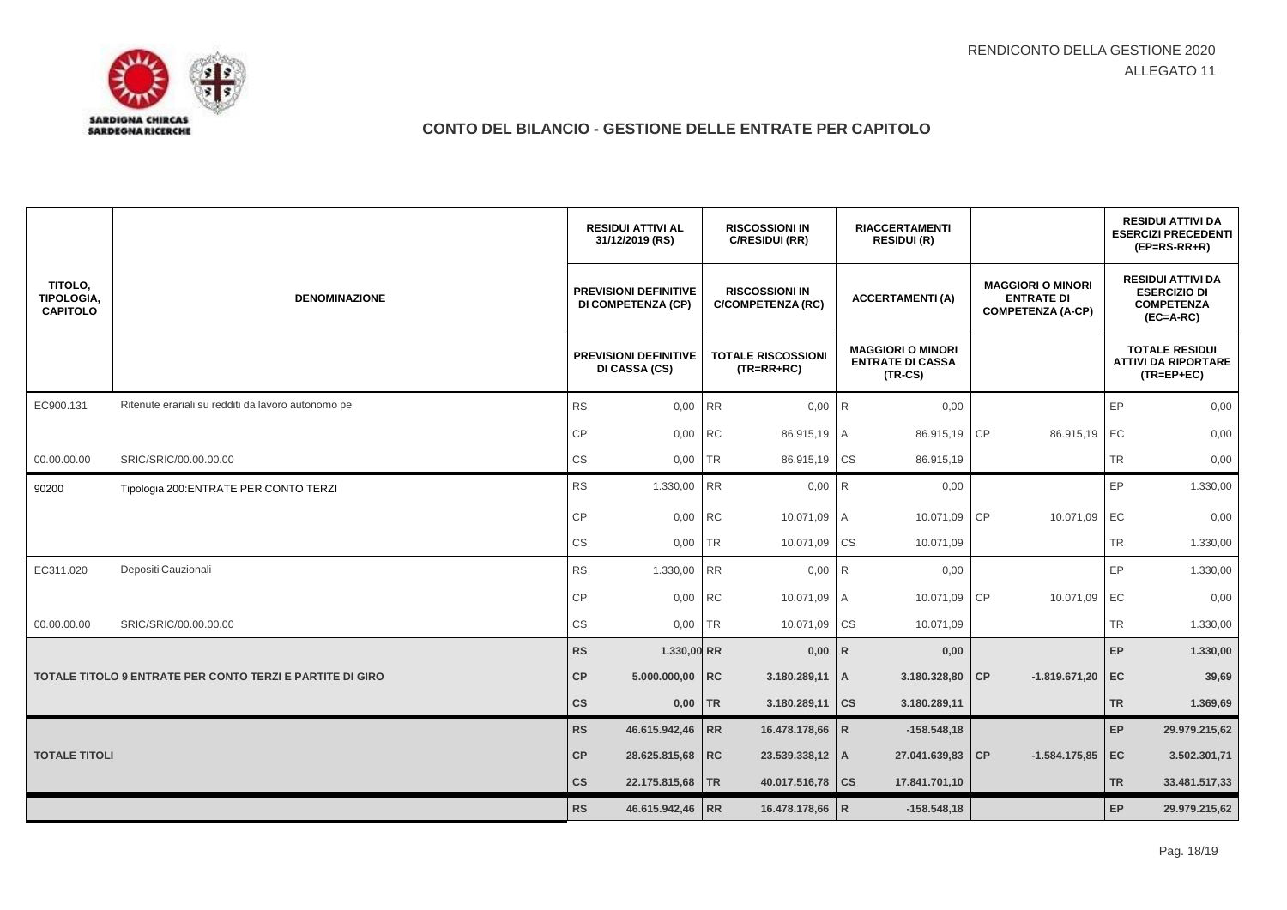

|                                                 |                                                                  | <b>RESIDUI ATTIVI AL</b><br>31/12/2019 (RS)        |           | <b>RISCOSSIONI IN</b><br>C/RESIDUI (RR)           | <b>RIACCERTAMENTI</b><br><b>RESIDUI (R)</b> |                                                                  |                                                                           |           | <b>RESIDUI ATTIVI DA</b><br><b>ESERCIZI PRECEDENTI</b><br>$(EP=RS-RR+R)$            |
|-------------------------------------------------|------------------------------------------------------------------|----------------------------------------------------|-----------|---------------------------------------------------|---------------------------------------------|------------------------------------------------------------------|---------------------------------------------------------------------------|-----------|-------------------------------------------------------------------------------------|
| TITOLO,<br><b>TIPOLOGIA,</b><br><b>CAPITOLO</b> | <b>DENOMINAZIONE</b>                                             | <b>PREVISIONI DEFINITIVE</b><br>DI COMPETENZA (CP) |           | <b>RISCOSSIONI IN</b><br><b>C/COMPETENZA (RC)</b> |                                             | <b>ACCERTAMENTI (A)</b>                                          | <b>MAGGIORI O MINORI</b><br><b>ENTRATE DI</b><br><b>COMPETENZA (A-CP)</b> |           | <b>RESIDUI ATTIVI DA</b><br><b>ESERCIZIO DI</b><br><b>COMPETENZA</b><br>$(EC=A-RC)$ |
|                                                 |                                                                  | <b>PREVISIONI DEFINITIVE</b><br>DI CASSA (CS)      |           | <b>TOTALE RISCOSSIONI</b><br>$(TR=RR+RC)$         |                                             | <b>MAGGIORI O MINORI</b><br><b>ENTRATE DI CASSA</b><br>$(TR-CS)$ |                                                                           |           | <b>TOTALE RESIDUI</b><br><b>ATTIVI DA RIPORTARE</b><br>$(TR = EP + EC)$             |
| EC900.131                                       | Ritenute erariali su redditi da lavoro autonomo pe               | <b>RS</b>                                          | 0,00 RR   | 0,00                                              | $\mathsf{R}$                                | 0,00                                                             |                                                                           | EP        | 0,00                                                                                |
|                                                 |                                                                  | <b>CP</b>                                          | 0,00 RC   | 86.915,19 A                                       |                                             | 86.915,19 CP                                                     | 86.915,19                                                                 | EC        | 0,00                                                                                |
| 00.00.00.00                                     | SRIC/SRIC/00.00.00.00                                            | <b>CS</b><br>0,00                                  | ITR       | 86.915,19                                         | <b>CS</b>                                   | 86.915,19                                                        |                                                                           | <b>TR</b> | 0,00                                                                                |
| 90200                                           | Tipologia 200: ENTRATE PER CONTO TERZI                           | RS<br>1.330,00                                     | <b>RR</b> | 0,00                                              | R                                           | 0,00                                                             |                                                                           | EP        | 1.330,00                                                                            |
|                                                 |                                                                  | <b>CP</b>                                          | 0,00 RC   | 10.071,09 A                                       |                                             | 10.071,09                                                        | <b>CP</b><br>10.071,09                                                    | EC        | 0,00                                                                                |
|                                                 |                                                                  | $\mathbb{C}\mathbb{S}$<br>0,00                     | <b>TR</b> | 10.071,09                                         | <b>CS</b>                                   | 10.071,09                                                        |                                                                           | <b>TR</b> | 1.330,00                                                                            |
| EC311.020                                       | Depositi Cauzionali                                              | <b>RS</b><br>1.330,00 RR                           |           | 0,00                                              | R                                           | 0,00                                                             |                                                                           | EP        | 1.330,00                                                                            |
|                                                 |                                                                  | CP                                                 | 0,00 RC   | 10.071,09 A                                       |                                             | 10.071,09                                                        | <b>CP</b><br>10.071,09                                                    | EC        | 0,00                                                                                |
| 00.00.00.00                                     | SRIC/SRIC/00.00.00.00                                            | <b>CS</b>                                          | 0,00 TR   | 10.071,09                                         | CS                                          | 10.071,09                                                        |                                                                           | <b>TR</b> | 1.330,00                                                                            |
|                                                 |                                                                  | <b>RS</b><br>1.330,00 RR                           |           | 0,00                                              | $\mathsf{R}$                                | 0,00                                                             |                                                                           | EP        | 1.330,00                                                                            |
|                                                 | <b>TOTALE TITOLO 9 ENTRATE PER CONTO TERZI E PARTITE DI GIRO</b> | CP<br>5.000.000,00 RC                              |           | $3.180.289,11$   A                                |                                             | 3.180.328,80 CP                                                  | $-1.819.671,20$                                                           | EC        | 39,69                                                                               |
|                                                 |                                                                  | $\mathsf{cs}$                                      | $0,00$ TR | 3.180.289,11 CS                                   |                                             | 3.180.289,11                                                     |                                                                           | <b>TR</b> | 1.369,69                                                                            |
|                                                 |                                                                  | <b>RS</b><br>46.615.942,46 RR                      |           | 16.478.178,66                                     | $\mathsf{R}$                                | $-158.548.18$                                                    |                                                                           | EP        | 29.979.215,62                                                                       |
| <b>TOTALE TITOLI</b>                            |                                                                  | CP<br>28.625.815,68 RC                             |           | 23.539.338,12 A                                   |                                             | 27.041.639,83 CP                                                 | $-1.584.175,85$ EC                                                        |           | 3.502.301,71                                                                        |
|                                                 |                                                                  | $\mathsf{cs}$<br>22.175.815,68   TR                |           | 40.017.516,78   CS                                |                                             | 17.841.701,10                                                    |                                                                           | <b>TR</b> | 33.481.517,33                                                                       |
|                                                 |                                                                  | <b>RS</b><br>46.615.942,46 RR                      |           | 16.478.178,66 R                                   |                                             | $-158.548.18$                                                    |                                                                           | EP        | 29.979.215,62                                                                       |